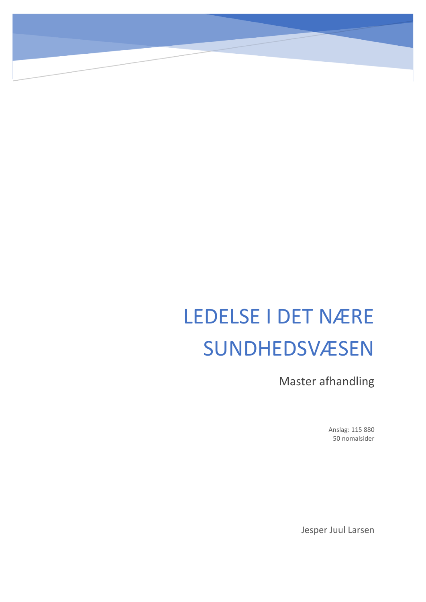# LEDELSE I DET NÆRE **SUNDHEDSVÆSEN**

Master afhandling

Anslag: 115 880 50 nomalsider

Jesper Juul Larsen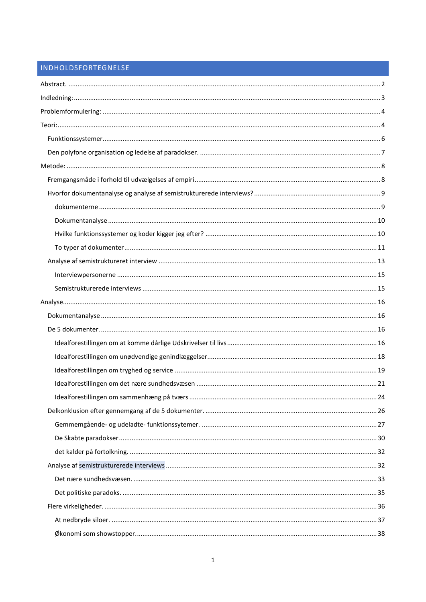# INDHOLDSFORTEGNELSE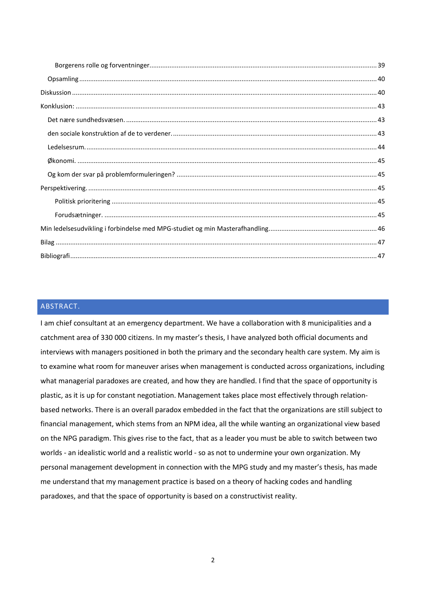# <span id="page-2-0"></span>ABSTRACT.

I am chief consultant at an emergency department. We have a collaboration with 8 municipalities and a catchment area of 330 000 citizens. In my master's thesis, I have analyzed both official documents and interviews with managers positioned in both the primary and the secondary health care system. My aim is to examine what room for maneuver arises when management is conducted across organizations, including what managerial paradoxes are created, and how they are handled. I find that the space of opportunity is plastic, as it is up for constant negotiation. Management takes place most effectively through relationbased networks. There is an overall paradox embedded in the fact that the organizations are still subject to financial management, which stems from an NPM idea, all the while wanting an organizational view based on the NPG paradigm. This gives rise to the fact, that as a leader you must be able to switch between two worlds - an idealistic world and a realistic world - so as not to undermine your own organization. My personal management development in connection with the MPG study and my master's thesis, has made me understand that my management practice is based on a theory of hacking codes and handling paradoxes, and that the space of opportunity is based on a constructivist reality.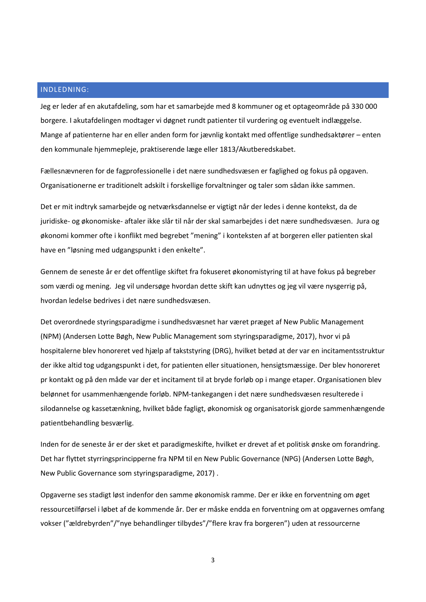# <span id="page-3-0"></span>INDLEDNING:

Jeg er leder af en akutafdeling, som har et samarbejde med 8 kommuner og et optageområde på 330 000 borgere. I akutafdelingen modtager vi døgnet rundt patienter til vurdering og eventuelt indlæggelse. Mange af patienterne har en eller anden form for jævnlig kontakt med offentlige sundhedsaktører – enten den kommunale hjemmepleje, praktiserende læge eller 1813/Akutberedskabet.

Fællesnævneren for de fagprofessionelle i det nære sundhedsvæsen er faglighed og fokus på opgaven. Organisationerne er traditionelt adskilt i forskellige forvaltninger og taler som sådan ikke sammen.

Det er mit indtryk samarbejde og netværksdannelse er vigtigt når der ledes i denne kontekst, da de juridiske- og økonomiske- aftaler ikke slår til når der skal samarbejdes i det nære sundhedsvæsen. Jura og økonomi kommer ofte i konflikt med begrebet "mening" i konteksten af at borgeren eller patienten skal have en "løsning med udgangspunkt i den enkelte".

Gennem de seneste år er det offentlige skiftet fra fokuseret økonomistyring til at have fokus på begreber som værdi og mening. Jeg vil undersøge hvordan dette skift kan udnyttes og jeg vil være nysgerrig på, hvordan ledelse bedrives i det nære sundhedsvæsen.

Det overordnede styringsparadigme i sundhedsvæsnet har været præget af New Public Management (NPM) (Andersen Lotte Bøgh, New Public Management som styringsparadigme, 2017), hvor vi på hospitalerne blev honoreret ved hjælp af takststyring (DRG), hvilket betød at der var en incitamentsstruktur der ikke altid tog udgangspunkt i det, for patienten eller situationen, hensigtsmæssige. Der blev honoreret pr kontakt og på den måde var der et incitament til at bryde forløb op i mange etaper. Organisationen blev belønnet for usammenhængende forløb. NPM-tankegangen i det nære sundhedsvæsen resulterede i silodannelse og kassetænkning, hvilket både fagligt, økonomisk og organisatorisk gjorde sammenhængende patientbehandling besværlig.

Inden for de seneste år er der sket et paradigmeskifte, hvilket er drevet af et politisk ønske om forandring. Det har flyttet styrringsprincipperne fra NPM til en New Public Governance (NPG) (Andersen Lotte Bøgh, New Public Governance som styringsparadigme, 2017) .

Opgaverne ses stadigt løst indenfor den samme økonomisk ramme. Der er ikke en forventning om øget ressourcetilførsel i løbet af de kommende år. Der er måske endda en forventning om at opgavernes omfang vokser ("ældrebyrden"/"nye behandlinger tilbydes"/"flere krav fra borgeren") uden at ressourcerne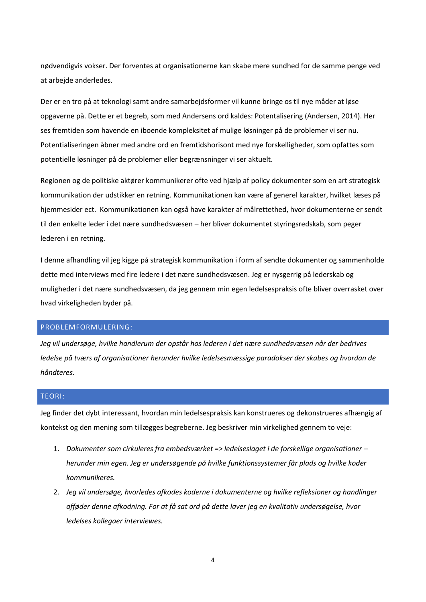nødvendigvis vokser. Der forventes at organisationerne kan skabe mere sundhed for de samme penge ved at arbejde anderledes.

Der er en tro på at teknologi samt andre samarbejdsformer vil kunne bringe os til nye måder at løse opgaverne på. Dette er et begreb, som med Andersens ord kaldes: Potentalisering (Andersen, 2014). Her ses fremtiden som havende en iboende kompleksitet af mulige løsninger på de problemer vi ser nu. Potentialiseringen åbner med andre ord en fremtidshorisont med nye forskelligheder, som opfattes som potentielle løsninger på de problemer eller begrænsninger vi ser aktuelt.

Regionen og de politiske aktører kommunikerer ofte ved hjælp af policy dokumenter som en art strategisk kommunikation der udstikker en retning. Kommunikationen kan være af generel karakter, hvilket læses på hjemmesider ect. Kommunikationen kan også have karakter af målrettethed, hvor dokumenterne er sendt til den enkelte leder i det nære sundhedsvæsen – her bliver dokumentet styringsredskab, som peger lederen i en retning.

I denne afhandling vil jeg kigge på strategisk kommunikation i form af sendte dokumenter og sammenholde dette med interviews med fire ledere i det nære sundhedsvæsen. Jeg er nysgerrig på lederskab og muligheder i det nære sundhedsvæsen, da jeg gennem min egen ledelsespraksis ofte bliver overrasket over hvad virkeligheden byder på.

# <span id="page-4-0"></span>PROBLEMFORMULERING:

*Jeg vil undersøge, hvilke handlerum der opstår hos lederen i det nære sundhedsvæsen når der bedrives ledelse på tværs af organisationer herunder hvilke ledelsesmæssige paradokser der skabes og hvordan de håndteres.*

# <span id="page-4-1"></span>TEORI:

Jeg finder det dybt interessant, hvordan min ledelsespraksis kan konstrueres og dekonstrueres afhængig af kontekst og den mening som tillægges begreberne. Jeg beskriver min virkelighed gennem to veje:

- 1. *Dokumenter som cirkuleres fra embedsværket => ledelseslaget i de forskellige organisationer – herunder min egen. Jeg er undersøgende på hvilke funktionssystemer får plads og hvilke koder kommunikeres.*
- 2. *Jeg vil undersøge, hvorledes afkodes koderne i dokumenterne og hvilke refleksioner og handlinger afføder denne afkodning. For at få sat ord på dette laver jeg en kvalitativ undersøgelse, hvor ledelses kollegaer interviewes.*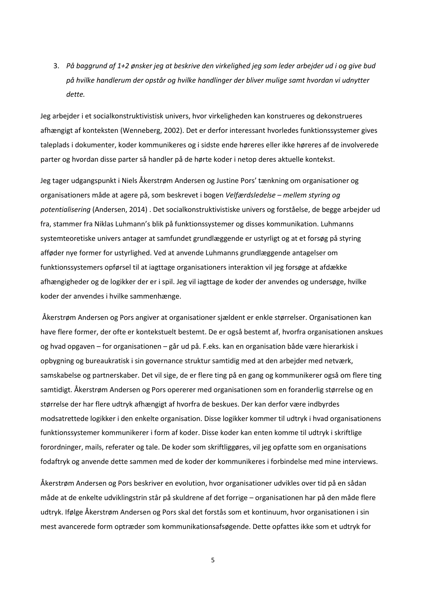3. *På baggrund af 1+2 ønsker jeg at beskrive den virkelighed jeg som leder arbejder ud i og give bud på hvilke handlerum der opstår og hvilke handlinger der bliver mulige samt hvordan vi udnytter dette.*

Jeg arbejder i et socialkonstruktivistisk univers, hvor virkeligheden kan konstrueres og dekonstrueres afhængigt af konteksten (Wenneberg, 2002). Det er derfor interessant hvorledes funktionssystemer gives taleplads i dokumenter, koder kommunikeres og i sidste ende høreres eller ikke høreres af de involverede parter og hvordan disse parter så handler på de hørte koder i netop deres aktuelle kontekst.

Jeg tager udgangspunkt i Niels Åkerstrøm Andersen og Justine Pors' tænkning om organisationer og organisationers måde at agere på, som beskrevet i bogen *Velfærdsledelse – mellem styring og potentialisering* (Andersen, 2014) . Det socialkonstruktivistiske univers og forståelse, de begge arbejder ud fra, stammer fra Niklas Luhmann's blik på funktionssystemer og disses kommunikation. Luhmanns systemteoretiske univers antager at samfundet grundlæggende er ustyrligt og at et forsøg på styring afføder nye former for ustyrlighed. Ved at anvende Luhmanns grundlæggende antagelser om funktionssystemers opførsel til at iagttage organisationers interaktion vil jeg forsøge at afdække afhængigheder og de logikker der er i spil. Jeg vil iagttage de koder der anvendes og undersøge, hvilke koder der anvendes i hvilke sammenhænge.

Åkerstrøm Andersen og Pors angiver at organisationer sjældent er enkle størrelser. Organisationen kan have flere former, der ofte er kontekstuelt bestemt. De er også bestemt af, hvorfra organisationen anskues og hvad opgaven – for organisationen – går ud på. F.eks. kan en organisation både være hierarkisk i opbygning og bureaukratisk i sin governance struktur samtidig med at den arbejder med netværk, samskabelse og partnerskaber. Det vil sige, de er flere ting på en gang og kommunikerer også om flere ting samtidigt. Åkerstrøm Andersen og Pors opererer med organisationen som en foranderlig størrelse og en størrelse der har flere udtryk afhængigt af hvorfra de beskues. Der kan derfor være indbyrdes modsatrettede logikker i den enkelte organisation. Disse logikker kommer til udtryk i hvad organisationens funktionssystemer kommunikerer i form af koder. Disse koder kan enten komme til udtryk i skriftlige forordninger, mails, referater og tale. De koder som skriftliggøres, vil jeg opfatte som en organisations fodaftryk og anvende dette sammen med de koder der kommunikeres i forbindelse med mine interviews.

Åkerstrøm Andersen og Pors beskriver en evolution, hvor organisationer udvikles over tid på en sådan måde at de enkelte udviklingstrin står på skuldrene af det forrige – organisationen har på den måde flere udtryk. Ifølge Åkerstrøm Andersen og Pors skal det forstås som et kontinuum, hvor organisationen i sin mest avancerede form optræder som kommunikationsafsøgende. Dette opfattes ikke som et udtryk for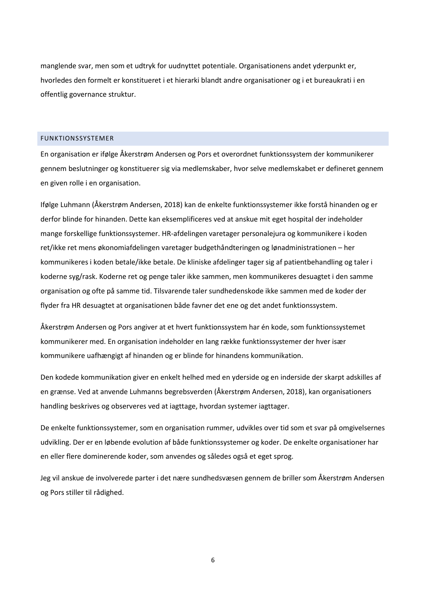manglende svar, men som et udtryk for uudnyttet potentiale. Organisationens andet yderpunkt er, hvorledes den formelt er konstitueret i et hierarki blandt andre organisationer og i et bureaukrati i en offentlig governance struktur.

#### <span id="page-6-0"></span>FUNKTIONSSYSTEMER

En organisation er ifølge Åkerstrøm Andersen og Pors et overordnet funktionssystem der kommunikerer gennem beslutninger og konstituerer sig via medlemskaber, hvor selve medlemskabet er defineret gennem en given rolle i en organisation.

Ifølge Luhmann (Åkerstrøm Andersen, 2018) kan de enkelte funktionssystemer ikke forstå hinanden og er derfor blinde for hinanden. Dette kan eksemplificeres ved at anskue mit eget hospital der indeholder mange forskellige funktionssystemer. HR-afdelingen varetager personalejura og kommunikere i koden ret/ikke ret mens økonomiafdelingen varetager budgethåndteringen og lønadministrationen – her kommunikeres i koden betale/ikke betale. De kliniske afdelinger tager sig af patientbehandling og taler i koderne syg/rask. Koderne ret og penge taler ikke sammen, men kommunikeres desuagtet i den samme organisation og ofte på samme tid. Tilsvarende taler sundhedenskode ikke sammen med de koder der flyder fra HR desuagtet at organisationen både favner det ene og det andet funktionssystem.

Åkerstrøm Andersen og Pors angiver at et hvert funktionssystem har én kode, som funktionssystemet kommunikerer med. En organisation indeholder en lang række funktionssystemer der hver især kommunikere uafhængigt af hinanden og er blinde for hinandens kommunikation.

Den kodede kommunikation giver en enkelt helhed med en yderside og en inderside der skarpt adskilles af en grænse. Ved at anvende Luhmanns begrebsverden (Åkerstrøm Andersen, 2018), kan organisationers handling beskrives og observeres ved at iagttage, hvordan systemer iagttager.

De enkelte funktionssystemer, som en organisation rummer, udvikles over tid som et svar på omgivelsernes udvikling. Der er en løbende evolution af både funktionssystemer og koder. De enkelte organisationer har en eller flere dominerende koder, som anvendes og således også et eget sprog.

Jeg vil anskue de involverede parter i det nære sundhedsvæsen gennem de briller som Åkerstrøm Andersen og Pors stiller til rådighed.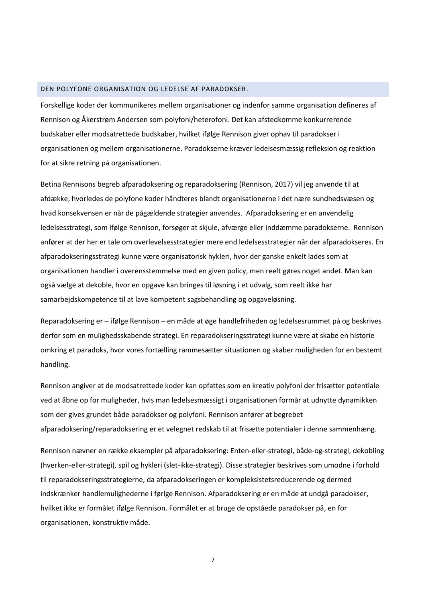# <span id="page-7-0"></span>DEN POLYFONE ORGANISATION OG LEDELSE AF PARADOKSER.

Forskellige koder der kommunikeres mellem organisationer og indenfor samme organisation defineres af Rennison og Åkerstrøm Andersen som polyfoni/heterofoni. Det kan afstedkomme konkurrerende budskaber eller modsatrettede budskaber, hvilket ifølge Rennison giver ophav til paradokser i organisationen og mellem organisationerne. Paradokserne kræver ledelsesmæssig refleksion og reaktion for at sikre retning på organisationen.

Betina Rennisons begreb afparadoksering og reparadoksering (Rennison, 2017) vil jeg anvende til at afdække, hvorledes de polyfone koder håndteres blandt organisationerne i det nære sundhedsvæsen og hvad konsekvensen er når de pågældende strategier anvendes. Afparadoksering er en anvendelig ledelsesstrategi, som ifølge Rennison, forsøger at skjule, afværge eller inddæmme paradokserne. Rennison anfører at der her er tale om overlevelsesstrategier mere end ledelsesstrategier når der afparadokseres. En afparadokseringsstrategi kunne være organisatorisk hykleri, hvor der ganske enkelt lades som at organisationen handler i overensstemmelse med en given policy, men reelt gøres noget andet. Man kan også vælge at dekoble, hvor en opgave kan bringes til løsning i et udvalg, som reelt ikke har samarbejdskompetence til at lave kompetent sagsbehandling og opgaveløsning.

Reparadoksering er – ifølge Rennison – en måde at øge handlefriheden og ledelsesrummet på og beskrives derfor som en mulighedsskabende strategi. En reparadokseringsstrategi kunne være at skabe en historie omkring et paradoks, hvor vores fortælling rammesætter situationen og skaber muligheden for en bestemt handling.

Rennison angiver at de modsatrettede koder kan opfattes som en kreativ polyfoni der frisætter potentiale ved at åbne op for muligheder, hvis man ledelsesmæssigt i organisationen formår at udnytte dynamikken som der gives grundet både paradokser og polyfoni. Rennison anfører at begrebet afparadoksering/reparadoksering er et velegnet redskab til at frisætte potentialer i denne sammenhæng.

Rennison nævner en række eksempler på afparadoksering: Enten-eller-strategi, både-og-strategi, dekobling (hverken-eller-strategi), spil og hykleri (slet-ikke-strategi). Disse strategier beskrives som umodne i forhold til reparadokseringsstrategierne, da afparadokseringen er kompleksistetsreducerende og dermed indskrænker handlemulighederne i førlge Rennison. Afparadoksering er en måde at undgå paradokser, hvilket ikke er formålet ifølge Rennison. Formålet er at bruge de opståede paradokser på, en for organisationen, konstruktiv måde.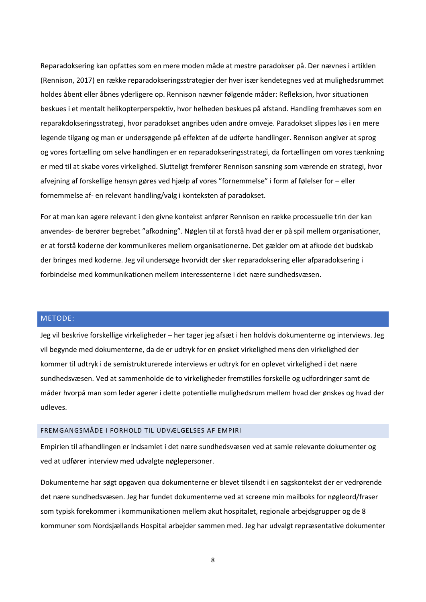Reparadoksering kan opfattes som en mere moden måde at mestre paradokser på. Der nævnes i artiklen (Rennison, 2017) en række reparadokseringsstrategier der hver især kendetegnes ved at mulighedsrummet holdes åbent eller åbnes yderligere op. Rennison nævner følgende måder: Refleksion, hvor situationen beskues i et mentalt helikopterperspektiv, hvor helheden beskues på afstand. Handling fremhæves som en reparakdokseringsstrategi, hvor paradokset angribes uden andre omveje. Paradokset slippes løs i en mere legende tilgang og man er undersøgende på effekten af de udførte handlinger. Rennison angiver at sprog og vores fortælling om selve handlingen er en reparadokseringsstrategi, da fortællingen om vores tænkning er med til at skabe vores virkelighed. Slutteligt fremfører Rennison sansning som værende en strategi, hvor afvejning af forskellige hensyn gøres ved hjælp af vores "fornemmelse" i form af følelser for – eller fornemmelse af- en relevant handling/valg i konteksten af paradokset.

For at man kan agere relevant i den givne kontekst anfører Rennison en række processuelle trin der kan anvendes- de berører begrebet "afkodning". Nøglen til at forstå hvad der er på spil mellem organisationer, er at forstå koderne der kommunikeres mellem organisationerne. Det gælder om at afkode det budskab der bringes med koderne. Jeg vil undersøge hvorvidt der sker reparadoksering eller afparadoksering i forbindelse med kommunikationen mellem interessenterne i det nære sundhedsvæsen.

# <span id="page-8-0"></span>METODE:

Jeg vil beskrive forskellige virkeligheder – her tager jeg afsæt i hen holdvis dokumenterne og interviews. Jeg vil begynde med dokumenterne, da de er udtryk for en ønsket virkelighed mens den virkelighed der kommer til udtryk i de semistrukturerede interviews er udtryk for en oplevet virkelighed i det nære sundhedsvæsen. Ved at sammenholde de to virkeligheder fremstilles forskelle og udfordringer samt de måder hvorpå man som leder agerer i dette potentielle mulighedsrum mellem hvad der ønskes og hvad der udleves.

#### <span id="page-8-1"></span>FREMGANGSMÅDE I FORHOLD TIL UDVÆLGELSES AF EMPIRI

Empirien til afhandlingen er indsamlet i det nære sundhedsvæsen ved at samle relevante dokumenter og ved at udfører interview med udvalgte nøglepersoner.

Dokumenterne har søgt opgaven qua dokumenterne er blevet tilsendt i en sagskontekst der er vedrørende det nære sundhedsvæsen. Jeg har fundet dokumenterne ved at screene min mailboks for nøgleord/fraser som typisk forekommer i kommunikationen mellem akut hospitalet, regionale arbejdsgrupper og de 8 kommuner som Nordsjællands Hospital arbejder sammen med. Jeg har udvalgt repræsentative dokumenter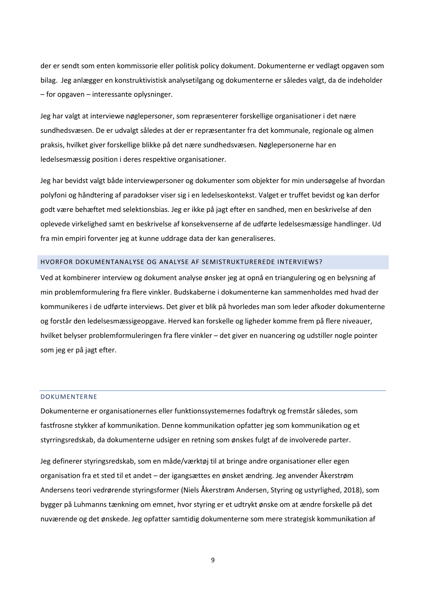der er sendt som enten kommissorie eller politisk policy dokument. Dokumenterne er vedlagt opgaven som bilag. Jeg anlægger en konstruktivistisk analysetilgang og dokumenterne er således valgt, da de indeholder – for opgaven – interessante oplysninger.

Jeg har valgt at interviewe nøglepersoner, som repræsenterer forskellige organisationer i det nære sundhedsvæsen. De er udvalgt således at der er repræsentanter fra det kommunale, regionale og almen praksis, hvilket giver forskellige blikke på det nære sundhedsvæsen. Nøglepersonerne har en ledelsesmæssig position i deres respektive organisationer.

Jeg har bevidst valgt både interviewpersoner og dokumenter som objekter for min undersøgelse af hvordan polyfoni og håndtering af paradokser viser sig i en ledelseskontekst. Valget er truffet bevidst og kan derfor godt være behæftet med selektionsbias. Jeg er ikke på jagt efter en sandhed, men en beskrivelse af den oplevede virkelighed samt en beskrivelse af konsekvenserne af de udførte ledelsesmæssige handlinger. Ud fra min empiri forventer jeg at kunne uddrage data der kan generaliseres.

# <span id="page-9-0"></span>HVORFOR DOKUMENTANALYSE OG ANALYSE AF SEMISTRUKTUREREDE INTERVIEWS?

Ved at kombinerer interview og dokument analyse ønsker jeg at opnå en triangulering og en belysning af min problemformulering fra flere vinkler. Budskaberne i dokumenterne kan sammenholdes med hvad der kommunikeres i de udførte interviews. Det giver et blik på hvorledes man som leder afkoder dokumenterne og forstår den ledelsesmæssigeopgave. Herved kan forskelle og ligheder komme frem på flere niveauer, hvilket belyser problemformuleringen fra flere vinkler – det giver en nuancering og udstiller nogle pointer som jeg er på jagt efter.

#### <span id="page-9-1"></span>DOKUMENTERNE

Dokumenterne er organisationernes eller funktionssystemernes fodaftryk og fremstår således, som fastfrosne stykker af kommunikation. Denne kommunikation opfatter jeg som kommunikation og et styrringsredskab, da dokumenterne udsiger en retning som ønskes fulgt af de involverede parter.

Jeg definerer styringsredskab, som en måde/værktøj til at bringe andre organisationer eller egen organisation fra et sted til et andet – der igangsættes en ønsket ændring. Jeg anvender Åkerstrøm Andersens teori vedrørende styringsformer (Niels Åkerstrøm Andersen, Styring og ustyrlighed, 2018), som bygger på Luhmanns tænkning om emnet, hvor styring er et udtrykt ønske om at ændre forskelle på det nuværende og det ønskede. Jeg opfatter samtidig dokumenterne som mere strategisk kommunikation af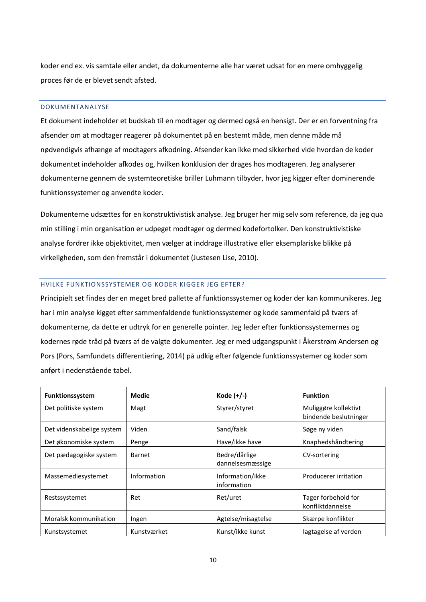koder end ex. vis samtale eller andet, da dokumenterne alle har været udsat for en mere omhyggelig proces før de er blevet sendt afsted.

### <span id="page-10-0"></span>DOKUMENTANALYSE

Et dokument indeholder et budskab til en modtager og dermed også en hensigt. Der er en forventning fra afsender om at modtager reagerer på dokumentet på en bestemt måde, men denne måde må nødvendigvis afhænge af modtagers afkodning. Afsender kan ikke med sikkerhed vide hvordan de koder dokumentet indeholder afkodes og, hvilken konklusion der drages hos modtageren. Jeg analyserer dokumenterne gennem de systemteoretiske briller Luhmann tilbyder, hvor jeg kigger efter dominerende funktionssystemer og anvendte koder.

Dokumenterne udsættes for en konstruktivistisk analyse. Jeg bruger her mig selv som reference, da jeg qua min stilling i min organisation er udpeget modtager og dermed kodefortolker. Den konstruktivistiske analyse fordrer ikke objektivitet, men vælger at inddrage illustrative eller eksemplariske blikke på virkeligheden, som den fremstår i dokumentet (Justesen Lise, 2010).

### <span id="page-10-1"></span>HVILKE FUNKTIONSSYSTEMER OG KODER KIGGER JEG EFTER?

Principielt set findes der en meget bred pallette af funktionssystemer og koder der kan kommunikeres. Jeg har i min analyse kigget efter sammenfaldende funktionssystemer og kode sammenfald på tværs af dokumenterne, da dette er udtryk for en generelle pointer. Jeg leder efter funktionssystemernes og kodernes røde tråd på tværs af de valgte dokumenter. Jeg er med udgangspunkt i Åkerstrøm Andersen og Pors (Pors, Samfundets differentiering, 2014) på udkig efter følgende funktionssystemer og koder som anført i nedenstående tabel.

| Funktionssystem           | <b>Medie</b> | Kode $(+/-)$                      | <b>Funktion</b>                               |
|---------------------------|--------------|-----------------------------------|-----------------------------------------------|
| Det politiske system      | Magt         | Styrer/styret                     | Muliggøre kollektivt<br>bindende beslutninger |
| Det videnskabelige system | Viden        | Sand/falsk                        | Søge ny viden                                 |
| Det økonomiske system     | Penge        | Have/ikke have                    | Knaphedshåndtering                            |
| Det pædagogiske system    | Barnet       | Bedre/dårlige<br>dannelsesmæssige | CV-sortering                                  |
| Massemediesystemet        | Information  | Information/ikke<br>information   | Producerer irritation                         |
| Restssystemet             | Ret          | Ret/uret                          | Tager forbehold for<br>konfliktdannelse       |
| Moralsk kommunikation     | Ingen        | Agtelse/misagtelse                | Skærpe konflikter                             |
| Kunstsystemet             | Kunstværket  | Kunst/ikke kunst                  | lagtagelse af verden                          |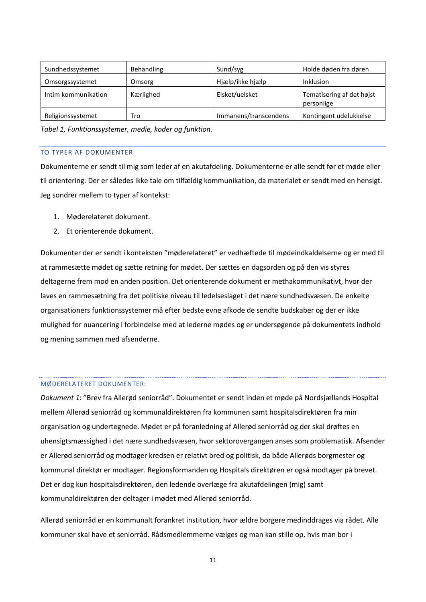| Sundhedssystemet    | Behandling | Sund/syg              | Holde døden fra døren                   |
|---------------------|------------|-----------------------|-----------------------------------------|
| Omsorgssystemet     | Omsorg     | Hjælp/ikke hjælp      | <b>Inklusion</b>                        |
| Intim kommunikation | Kærlighed  | Elsket/uelsket        | Tematisering af det højst<br>personlige |
| Religionssystemet   | Tro        | Immanens/transcendens | Kontingent udelukkelse                  |

*Tabel 1, Funktionssystemer, medie, koder og funktion.*

# <span id="page-11-0"></span>TO TYPER AF DOKUMENTER

Dokumenterne er sendt til mig som leder af en akutafdeling. Dokumenterne er alle sendt før et møde eller til orientering. Der er således ikke tale om tilfældig kommunikation, da materialet er sendt med en hensigt. Jeg sondrer mellem to typer af kontekst:

- 1. Møderelateret dokument.
- 2. Et orienterende dokument.

Dokumenter der er sendt i konteksten "møderelateret" er vedhæftede til mødeindkaldelserne og er med til at rammesætte mødet og sætte retning for mødet. Der sættes en dagsorden og på den vis styres deltagerne frem mod en anden position. Det orienterende dokument er methakommunikativt, hvor der laves en rammesætning fra det politiske niveau til ledelseslaget i det nære sundhedsvæsen. De enkelte organisationers funktionssystemer må efter bedste evne afkode de sendte budskaber og der er ikke mulighed for nuancering i forbindelse med at lederne mødes og er undersøgende på dokumentets indhold og mening sammen med afsenderne.

#### MØDERELATERET DOKUMENTER:

*Dokument 1*: "Brev fra Allerød seniorråd". Dokumentet er sendt inden et møde på Nordsjællands Hospital mellem Allerød seniorråd og kommunaldirektøren fra kommunen samt hospitalsdirektøren fra min organisation og undertegnede. Mødet er på foranledning af Allerød seniorråd og der skal drøftes en uhensigtsmæssighed i det nære sundhedsvæsen, hvor sektorovergangen anses som problematisk. Afsender er Allerød seniorråd og modtager kredsen er relativt bred og politisk, da både Allerøds borgmester og kommunal direktør er modtager. Regionsformanden og Hospitals direktøren er også modtager på brevet. Det er dog kun hospitalsdirektøren, den ledende overlæge fra akutafdelingen (mig) samt kommunaldirektøren der deltager i mødet med Allerød seniorråd.

Allerød seniorråd er en kommunalt forankret institution, hvor ældre borgere medinddrages via rådet. Alle kommuner skal have et seniorråd. Rådsmedlemmerne vælges og man kan stille op, hvis man bor i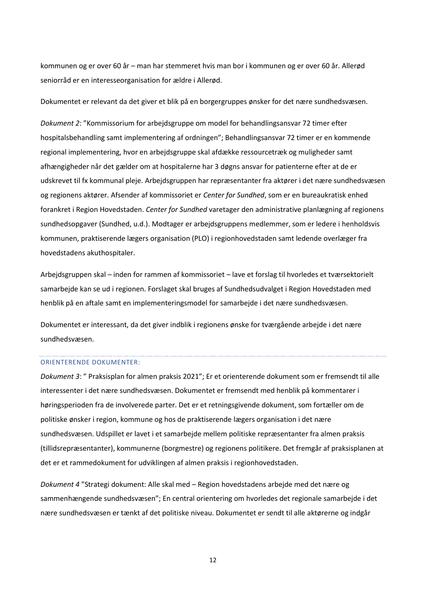kommunen og er over 60 år – man har stemmeret hvis man bor i kommunen og er over 60 år. Allerød seniorråd er en interesseorganisation for ældre i Allerød.

Dokumentet er relevant da det giver et blik på en borgergruppes ønsker for det nære sundhedsvæsen.

*Dokument 2*: "Kommissorium for arbejdsgruppe om model for behandlingsansvar 72 timer efter hospitalsbehandling samt implementering af ordningen"; Behandlingsansvar 72 timer er en kommende regional implementering, hvor en arbejdsgruppe skal afdække ressourcetræk og muligheder samt afhængigheder når det gælder om at hospitalerne har 3 døgns ansvar for patienterne efter at de er udskrevet til fx kommunal pleje. Arbejdsgruppen har repræsentanter fra aktører i det nære sundhedsvæsen og regionens aktører. Afsender af kommissoriet er *Center for Sundhed*, som er en bureaukratisk enhed forankret i Region Hovedstaden. *Center for Sundhed* varetager den administrative planlægning af regionens sundhedsopgaver (Sundhed, u.d.). Modtager er arbejdsgruppens medlemmer, som er ledere i henholdsvis kommunen, praktiserende lægers organisation (PLO) i regionhovedstaden samt ledende overlæger fra hovedstadens akuthospitaler.

Arbejdsgruppen skal – inden for rammen af kommissoriet – lave et forslag til hvorledes et tværsektorielt samarbejde kan se ud i regionen. Forslaget skal bruges af Sundhedsudvalget i Region Hovedstaden med henblik på en aftale samt en implementeringsmodel for samarbejde i det nære sundhedsvæsen.

Dokumentet er interessant, da det giver indblik i regionens ønske for tværgående arbejde i det nære sundhedsvæsen.

#### ORIENTERENDE DOKUMENTER:

*Dokument 3*: " Praksisplan for almen praksis 2021"; Er et orienterende dokument som er fremsendt til alle interessenter i det nære sundhedsvæsen. Dokumentet er fremsendt med henblik på kommentarer i høringsperioden fra de involverede parter. Det er et retningsgivende dokument, som fortæller om de politiske ønsker i region, kommune og hos de praktiserende lægers organisation i det nære sundhedsvæsen. Udspillet er lavet i et samarbejde mellem politiske repræsentanter fra almen praksis (tillidsrepræsentanter), kommunerne (borgmestre) og regionens politikere. Det fremgår af praksisplanen at det er et rammedokument for udviklingen af almen praksis i regionhovedstaden.

*Dokument 4* "Strategi dokument: Alle skal med – Region hovedstadens arbejde med det nære og sammenhængende sundhedsvæsen"; En central orientering om hvorledes det regionale samarbejde i det nære sundhedsvæsen er tænkt af det politiske niveau. Dokumentet er sendt til alle aktørerne og indgår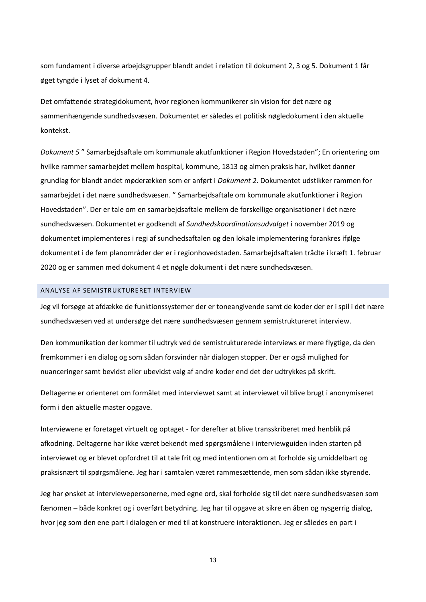som fundament i diverse arbejdsgrupper blandt andet i relation til dokument 2, 3 og 5. Dokument 1 får øget tyngde i lyset af dokument 4.

Det omfattende strategidokument, hvor regionen kommunikerer sin vision for det nære og sammenhængende sundhedsvæsen. Dokumentet er således et politisk nøgledokument i den aktuelle kontekst.

*Dokument 5* " Samarbejdsaftale om kommunale akutfunktioner i Region Hovedstaden"; En orientering om hvilke rammer samarbejdet mellem hospital, kommune, 1813 og almen praksis har, hvilket danner grundlag for blandt andet møderækken som er anført i *Dokument 2*. Dokumentet udstikker rammen for samarbejdet i det nære sundhedsvæsen. " Samarbejdsaftale om kommunale akutfunktioner i Region Hovedstaden". Der er tale om en samarbejdsaftale mellem de forskellige organisationer i det nære sundhedsvæsen. Dokumentet er godkendt af *Sundhedskoordinationsudvalget* i november 2019 og dokumentet implementeres i regi af sundhedsaftalen og den lokale implementering forankres ifølge dokumentet i de fem planområder der er i regionhovedstaden. Samarbejdsaftalen trådte i kræft 1. februar 2020 og er sammen med dokument 4 et nøgle dokument i det nære sundhedsvæsen.

#### <span id="page-13-0"></span>ANALYSE AF SEMISTRUKTURERET INTERVIEW

Jeg vil forsøge at afdække de funktionssystemer der er toneangivende samt de koder der er i spil i det nære sundhedsvæsen ved at undersøge det nære sundhedsvæsen gennem semistruktureret interview.

Den kommunikation der kommer til udtryk ved de semistrukturerede interviews er mere flygtige, da den fremkommer i en dialog og som sådan forsvinder når dialogen stopper. Der er også mulighed for nuanceringer samt bevidst eller ubevidst valg af andre koder end det der udtrykkes på skrift.

Deltagerne er orienteret om formålet med interviewet samt at interviewet vil blive brugt i anonymiseret form i den aktuelle master opgave.

Interviewene er foretaget virtuelt og optaget - for derefter at blive transskriberet med henblik på afkodning. Deltagerne har ikke været bekendt med spørgsmålene i interviewguiden inden starten på interviewet og er blevet opfordret til at tale frit og med intentionen om at forholde sig umiddelbart og praksisnært til spørgsmålene. Jeg har i samtalen været rammesættende, men som sådan ikke styrende.

Jeg har ønsket at interviewepersonerne, med egne ord, skal forholde sig til det nære sundhedsvæsen som fænomen – både konkret og i overført betydning. Jeg har til opgave at sikre en åben og nysgerrig dialog, hvor jeg som den ene part i dialogen er med til at konstruere interaktionen. Jeg er således en part i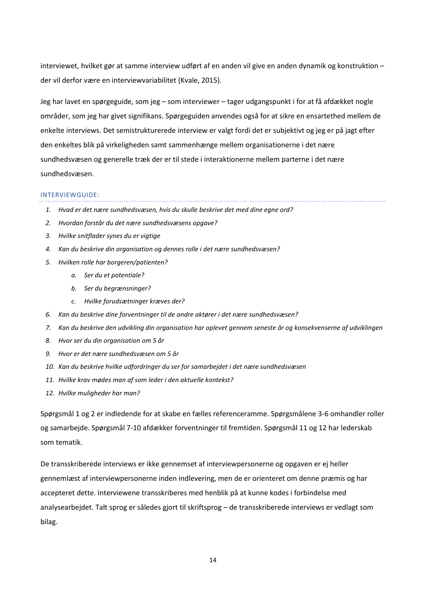interviewet, hvilket gør at samme interview udført af en anden vil give en anden dynamik og konstruktion – der vil derfor være en interviewvariabilitet (Kvale, 2015).

Jeg har lavet en spørgeguide, som jeg – som interviewer – tager udgangspunkt i for at få afdækket nogle områder, som jeg har givet signifikans. Spørgeguiden anvendes også for at sikre en ensartethed mellem de enkelte interviews. Det semistrukturerede interview er valgt fordi det er subjektivt og jeg er på jagt efter den enkeltes blik på virkeligheden samt sammenhænge mellem organisationerne i det nære sundhedsvæsen og generelle træk der er til stede i interaktionerne mellem parterne i det nære sundhedsvæsen.

#### INTERVIEWGUIDE:

- *1. Hvad er det nære sundhedsvæsen, hvis du skulle beskrive det med dine egne ord?*
- *2. Hvordan forstår du det nære sundhedsvæsens opgave?*
- *3. Hvilke snitflader synes du er vigtige*
- *4. Kan du beskrive din organisation og dennes rolle i det nære sundhedsvæsen?*
- *5. Hvilken rolle har borgeren/patienten?*
	- *a. Ser du et potentiale?*
	- *b. Ser du begrænsninger?*
	- *c. Hvilke forudsætninger kræves der?*
- *6. Kan du beskrive dine forventninger til de andre aktører i det nære sundhedsvæsen?*
- *7. Kan du beskrive den udvikling din organisation har oplevet gennem seneste år og konsekvenserne af udviklingen*
- *8. Hvor ser du din organisation om 5 år*
- *9. Hvor er det nære sundhedsvæsen om 5 år*
- *10. Kan du beskrive hvilke udfordringer du ser for samarbejdet i det nære sundhedsvæsen*
- *11. Hvilke krav mødes man af som leder i den aktuelle kontekst?*
- *12. Hvilke muligheder har man?*

Spørgsmål 1 og 2 er indledende for at skabe en fælles referenceramme. Spørgsmålene 3-6 omhandler roller og samarbejde. Spørgsmål 7-10 afdækker forventninger til fremtiden. Spørgsmål 11 og 12 har lederskab som tematik.

De transskriberede interviews er ikke gennemset af interviewpersonerne og opgaven er ej heller gennemlæst af interviewpersonerne inden indlevering, men de er orienteret om denne præmis og har accepteret dette. Interviewene transskriberes med henblik på at kunne kodes i forbindelse med analysearbejdet. Talt sprog er således gjort til skriftsprog – de transskriberede interviews er vedlagt som bilag.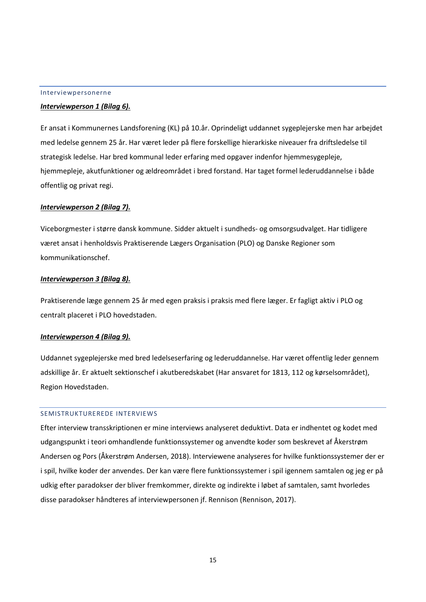#### <span id="page-15-0"></span>Interviewpersonerne

# *Interviewperson 1 (Bilag 6).*

Er ansat i Kommunernes Landsforening (KL) på 10.år. Oprindeligt uddannet sygeplejerske men har arbejdet med ledelse gennem 25 år. Har været leder på flere forskellige hierarkiske niveauer fra driftsledelse til strategisk ledelse. Har bred kommunal leder erfaring med opgaver indenfor hjemmesygepleje, hjemmepleje, akutfunktioner og ældreområdet i bred forstand. Har taget formel lederuddannelse i både offentlig og privat regi.

### *Interviewperson 2 (Bilag 7).*

Viceborgmester i større dansk kommune. Sidder aktuelt i sundheds- og omsorgsudvalget. Har tidligere været ansat i henholdsvis Praktiserende Lægers Organisation (PLO) og Danske Regioner som kommunikationschef.

### *Interviewperson 3 (Bilag 8).*

Praktiserende læge gennem 25 år med egen praksis i praksis med flere læger. Er fagligt aktiv i PLO og centralt placeret i PLO hovedstaden.

### *Interviewperson 4 (Bilag 9).*

Uddannet sygeplejerske med bred ledelseserfaring og lederuddannelse. Har været offentlig leder gennem adskillige år. Er aktuelt sektionschef i akutberedskabet (Har ansvaret for 1813, 112 og kørselsområdet), Region Hovedstaden.

# <span id="page-15-1"></span>SEMISTRUKTUREREDE INTERVIEWS

Efter interview transskriptionen er mine interviews analyseret deduktivt. Data er indhentet og kodet med udgangspunkt i teori omhandlende funktionssystemer og anvendte koder som beskrevet af Åkerstrøm Andersen og Pors (Åkerstrøm Andersen, 2018). Interviewene analyseres for hvilke funktionssystemer der er i spil, hvilke koder der anvendes. Der kan være flere funktionssystemer i spil igennem samtalen og jeg er på udkig efter paradokser der bliver fremkommer, direkte og indirekte i løbet af samtalen, samt hvorledes disse paradokser håndteres af interviewpersonen jf. Rennison (Rennison, 2017).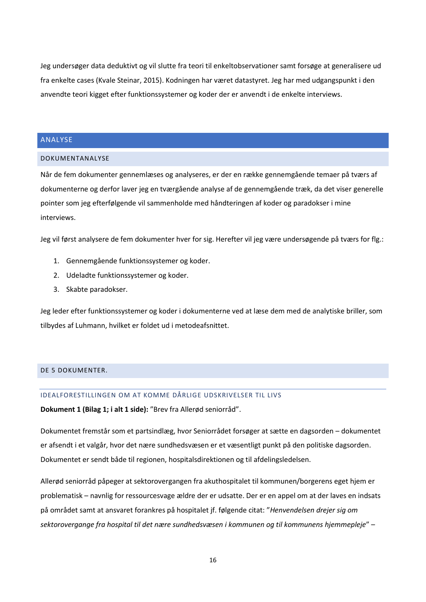Jeg undersøger data deduktivt og vil slutte fra teori til enkeltobservationer samt forsøge at generalisere ud fra enkelte cases (Kvale Steinar, 2015). Kodningen har været datastyret. Jeg har med udgangspunkt i den anvendte teori kigget efter funktionssystemer og koder der er anvendt i de enkelte interviews.

# <span id="page-16-0"></span>ANALYSE

#### <span id="page-16-1"></span>DOKUMENTANALYSE

Når de fem dokumenter gennemlæses og analyseres, er der en række gennemgående temaer på tværs af dokumenterne og derfor laver jeg en tværgående analyse af de gennemgående træk, da det viser generelle pointer som jeg efterfølgende vil sammenholde med håndteringen af koder og paradokser i mine interviews.

Jeg vil først analysere de fem dokumenter hver for sig. Herefter vil jeg være undersøgende på tværs for flg.:

- 1. Gennemgående funktionssystemer og koder.
- 2. Udeladte funktionssystemer og koder.
- 3. Skabte paradokser.

Jeg leder efter funktionssystemer og koder i dokumenterne ved at læse dem med de analytiske briller, som tilbydes af Luhmann, hvilket er foldet ud i metodeafsnittet.

# <span id="page-16-3"></span><span id="page-16-2"></span>DE 5 DOKUMENTER.

# IDEALFORESTILLINGEN OM AT KOMME DÅRLIGE UDSKRIVELSER TIL LIVS

**Dokument 1 (Bilag 1; i alt 1 side):** "Brev fra Allerød seniorråd".

Dokumentet fremstår som et partsindlæg, hvor Seniorrådet forsøger at sætte en dagsorden – dokumentet er afsendt i et valgår, hvor det nære sundhedsvæsen er et væsentligt punkt på den politiske dagsorden. Dokumentet er sendt både til regionen, hospitalsdirektionen og til afdelingsledelsen.

Allerød seniorråd påpeger at sektorovergangen fra akuthospitalet til kommunen/borgerens eget hjem er problematisk – navnlig for ressourcesvage ældre der er udsatte. Der er en appel om at der laves en indsats på området samt at ansvaret forankres på hospitalet jf. følgende citat: "*Henvendelsen drejer sig om sektorovergange fra hospital til det nære sundhedsvæsen i kommunen og til kommunens hjemmepleje*" –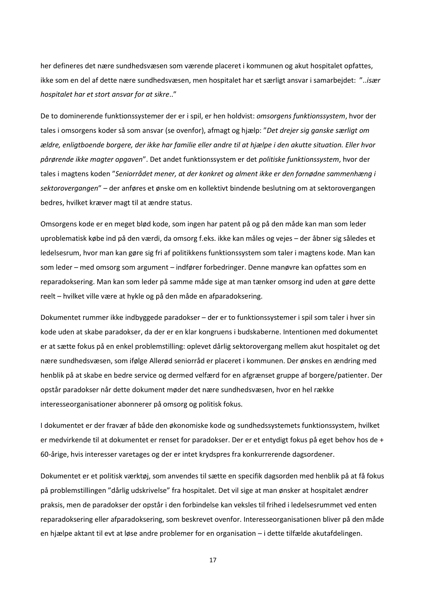her defineres det nære sundhedsvæsen som værende placeret i kommunen og akut hospitalet opfattes, ikke som en del af dette nære sundhedsvæsen, men hospitalet har et særligt ansvar i samarbejdet: "..*især hospitalet har et stort ansvar for at sikre*.."

De to dominerende funktionssystemer der er i spil, er hen holdvist: *omsorgens funktionssystem*, hvor der tales i omsorgens koder så som ansvar (se ovenfor), afmagt og hjælp: "*Det drejer sig ganske særligt om ældre, enligtboende borgere, der ikke har familie eller andre til at hjælpe i den akutte situation. Eller hvor pårørende ikke magter opgaven*". Det andet funktionssystem er det *politiske funktionssystem*, hvor der tales i magtens koden "*Seniorrådet mener, at der konkret og alment ikke er den fornødne sammenhæng i sektorovergangen*" – der anføres et ønske om en kollektivt bindende beslutning om at sektorovergangen bedres, hvilket kræver magt til at ændre status.

Omsorgens kode er en meget blød kode, som ingen har patent på og på den måde kan man som leder uproblematisk købe ind på den værdi, da omsorg f.eks. ikke kan måles og vejes – der åbner sig således et ledelsesrum, hvor man kan gøre sig fri af politikkens funktionssystem som taler i magtens kode. Man kan som leder – med omsorg som argument – indfører forbedringer. Denne manøvre kan opfattes som en reparadoksering. Man kan som leder på samme måde sige at man tænker omsorg ind uden at gøre dette reelt – hvilket ville være at hykle og på den måde en afparadoksering.

Dokumentet rummer ikke indbyggede paradokser – der er to funktionssystemer i spil som taler i hver sin kode uden at skabe paradokser, da der er en klar kongruens i budskaberne. Intentionen med dokumentet er at sætte fokus på en enkel problemstilling: oplevet dårlig sektorovergang mellem akut hospitalet og det nære sundhedsvæsen, som ifølge Allerød seniorråd er placeret i kommunen. Der ønskes en ændring med henblik på at skabe en bedre service og dermed velfærd for en afgrænset gruppe af borgere/patienter. Der opstår paradokser når dette dokument møder det nære sundhedsvæsen, hvor en hel række interesseorganisationer abonnerer på omsorg og politisk fokus.

I dokumentet er der fravær af både den økonomiske kode og sundhedssystemets funktionssystem, hvilket er medvirkende til at dokumentet er renset for paradokser. Der er et entydigt fokus på eget behov hos de + 60-årige, hvis interesser varetages og der er intet krydspres fra konkurrerende dagsordener.

Dokumentet er et politisk værktøj, som anvendes til sætte en specifik dagsorden med henblik på at få fokus på problemstillingen "dårlig udskrivelse" fra hospitalet. Det vil sige at man ønsker at hospitalet ændrer praksis, men de paradokser der opstår i den forbindelse kan veksles til frihed i ledelsesrummet ved enten reparadoksering eller afparadoksering, som beskrevet ovenfor. Interesseorganisationen bliver på den måde en hjælpe aktant til evt at løse andre problemer for en organisation – i dette tilfælde akutafdelingen.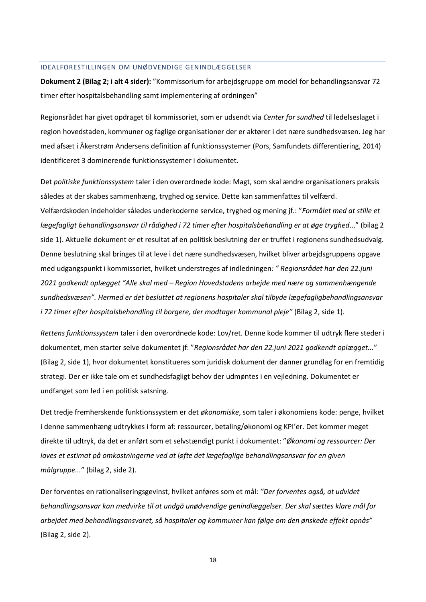#### <span id="page-18-0"></span>IDEALFORESTILLINGEN OM UNØDVENDIGE GENINDLÆGGELSER

**Dokument 2 (Bilag 2; i alt 4 sider):** "Kommissorium for arbejdsgruppe om model for behandlingsansvar 72 timer efter hospitalsbehandling samt implementering af ordningen"

Regionsrådet har givet opdraget til kommissoriet, som er udsendt via *Center for sundhed* til ledelseslaget i region hovedstaden, kommuner og faglige organisationer der er aktører i det nære sundhedsvæsen. Jeg har med afsæt i Åkerstrøm Andersens definition af funktionssystemer (Pors, Samfundets differentiering, 2014) identificeret 3 dominerende funktionssystemer i dokumentet.

Det *politiske funktionssystem* taler i den overordnede kode: Magt, som skal ændre organisationers praksis således at der skabes sammenhæng, tryghed og service. Dette kan sammenfattes til velfærd. Velfærdskoden indeholder således underkoderne service, tryghed og mening jf.: "*Formålet med at stille et lægefagligt behandlingsansvar til rådighed i 72 timer efter hospitalsbehandling er at øge tryghed*..." (bilag 2 side 1). Aktuelle dokument er et resultat af en politisk beslutning der er truffet i regionens sundhedsudvalg. Denne beslutning skal bringes til at leve i det nære sundhedsvæsen, hvilket bliver arbejdsgruppens opgave med udgangspunkt i kommissoriet, hvilket understreges af indledningen*: " Regionsrådet har den 22.juni 2021 godkendt oplægget "Alle skal med – Region Hovedstadens arbejde med nære og sammenhængende sundhedsvæsen". Hermed er det besluttet at regionens hospitaler skal tilbyde lægefagligbehandlingsansvar i 72 timer efter hospitalsbehandling til borgere, der modtager kommunal pleje"* (Bilag 2, side 1).

*Rettens funktionssystem* taler i den overordnede kode: Lov/ret. Denne kode kommer til udtryk flere steder i dokumentet, men starter selve dokumentet jf: "*Regionsrådet har den 22.juni 2021 godkendt oplægget...*" (Bilag 2, side 1), hvor dokumentet konstitueres som juridisk dokument der danner grundlag for en fremtidig strategi. Der er ikke tale om et sundhedsfagligt behov der udmøntes i en vejledning. Dokumentet er undfanget som led i en politisk satsning.

Det tredje fremherskende funktionssystem er det *økonomiske*, som taler i økonomiens kode: penge, hvilket i denne sammenhæng udtrykkes i form af: ressourcer, betaling/økonomi og KPI'er. Det kommer meget direkte til udtryk, da det er anført som et selvstændigt punkt i dokumentet: "*Økonomi og ressourcer: Der laves et estimat på omkostningerne ved at løfte det lægefaglige behandlingsansvar for en given målgruppe...*" (bilag 2, side 2).

Der forventes en rationaliseringsgevinst, hvilket anføres som et mål: *"Der forventes også, at udvidet behandlingsansvar kan medvirke til at undgå unødvendige genindlæggelser. Der skal sættes klare mål for arbejdet med behandlingsansvaret, så hospitaler og kommuner kan følge om den ønskede effekt opnås"* (Bilag 2, side 2).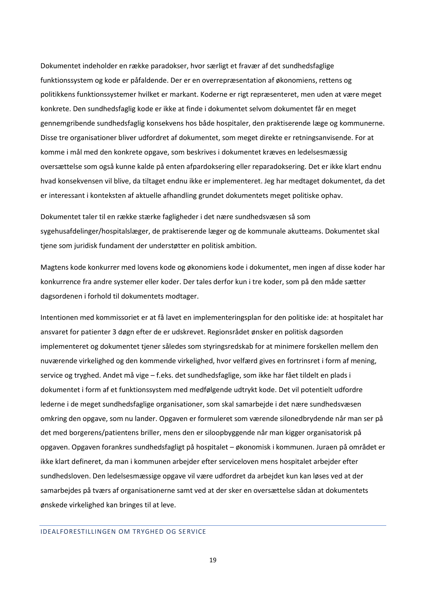Dokumentet indeholder en række paradokser, hvor særligt et fravær af det sundhedsfaglige funktionssystem og kode er påfaldende. Der er en overrepræsentation af økonomiens, rettens og politikkens funktionssystemer hvilket er markant. Koderne er rigt repræsenteret, men uden at være meget konkrete. Den sundhedsfaglig kode er ikke at finde i dokumentet selvom dokumentet får en meget gennemgribende sundhedsfaglig konsekvens hos både hospitaler, den praktiserende læge og kommunerne. Disse tre organisationer bliver udfordret af dokumentet, som meget direkte er retningsanvisende. For at komme i mål med den konkrete opgave, som beskrives i dokumentet kræves en ledelsesmæssig oversættelse som også kunne kalde på enten afpardoksering eller reparadoksering. Det er ikke klart endnu hvad konsekvensen vil blive, da tiltaget endnu ikke er implementeret. Jeg har medtaget dokumentet, da det er interessant i konteksten af aktuelle afhandling grundet dokumentets meget politiske ophav.

Dokumentet taler til en række stærke fagligheder i det nære sundhedsvæsen så som sygehusafdelinger/hospitalslæger, de praktiserende læger og de kommunale akutteams. Dokumentet skal tjene som juridisk fundament der understøtter en politisk ambition.

Magtens kode konkurrer med lovens kode og økonomiens kode i dokumentet, men ingen af disse koder har konkurrence fra andre systemer eller koder. Der tales derfor kun i tre koder, som på den måde sætter dagsordenen i forhold til dokumentets modtager.

Intentionen med kommissoriet er at få lavet en implementeringsplan for den politiske ide: at hospitalet har ansvaret for patienter 3 døgn efter de er udskrevet. Regionsrådet ønsker en politisk dagsorden implementeret og dokumentet tjener således som styringsredskab for at minimere forskellen mellem den nuværende virkelighed og den kommende virkelighed, hvor velfærd gives en fortrinsret i form af mening, service og tryghed. Andet må vige – f.eks. det sundhedsfaglige, som ikke har fået tildelt en plads i dokumentet i form af et funktionssystem med medfølgende udtrykt kode. Det vil potentielt udfordre lederne i de meget sundhedsfaglige organisationer, som skal samarbejde i det nære sundhedsvæsen omkring den opgave, som nu lander. Opgaven er formuleret som værende silonedbrydende når man ser på det med borgerens/patientens briller, mens den er siloopbyggende når man kigger organisatorisk på opgaven. Opgaven forankres sundhedsfagligt på hospitalet – økonomisk i kommunen. Juraen på området er ikke klart defineret, da man i kommunen arbejder efter serviceloven mens hospitalet arbejder efter sundhedsloven. Den ledelsesmæssige opgave vil være udfordret da arbejdet kun kan løses ved at der samarbejdes på tværs af organisationerne samt ved at der sker en oversættelse sådan at dokumentets ønskede virkelighed kan bringes til at leve.

#### <span id="page-19-0"></span>IDEALFORESTILLINGEN OM TRYGHED OG SERVICE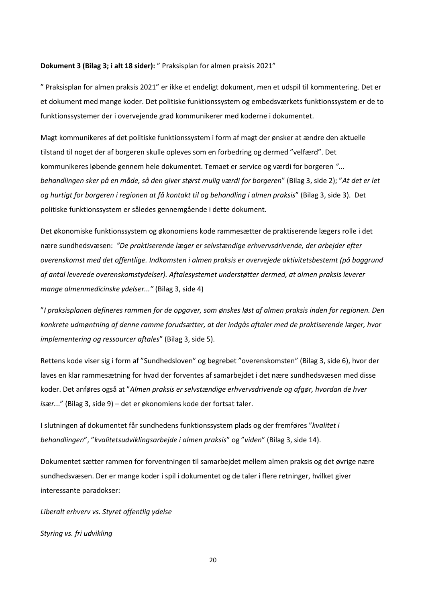#### **Dokument 3 (Bilag 3; i alt 18 sider):** " Praksisplan for almen praksis 2021"

" Praksisplan for almen praksis 2021" er ikke et endeligt dokument, men et udspil til kommentering. Det er et dokument med mange koder. Det politiske funktionssystem og embedsværkets funktionssystem er de to funktionssystemer der i overvejende grad kommunikerer med koderne i dokumentet.

Magt kommunikeres af det politiske funktionssystem i form af magt der ønsker at ændre den aktuelle tilstand til noget der af borgeren skulle opleves som en forbedring og dermed "velfærd". Det kommunikeres løbende gennem hele dokumentet. Temaet er service og værdi for borgeren *"... behandlingen sker på en måde, så den giver størst mulig værdi for borgeren*" (Bilag 3, side 2); "*At det er let og hurtigt for borgeren i regionen at få kontakt til og behandling i almen praksis*" (Bilag 3, side 3). Det politiske funktionssystem er således gennemgående i dette dokument.

Det økonomiske funktionssystem og økonomiens kode rammesætter de praktiserende lægers rolle i det nære sundhedsvæsen: *"De praktiserende læger er selvstændige erhvervsdrivende, der arbejder efter overenskomst med det offentlige. Indkomsten i almen praksis er overvejede aktivitetsbestemt (på baggrund af antal leverede overenskomstydelser). Aftalesystemet understøtter dermed, at almen praksis leverer mange almenmedicinske ydelser..."* (Bilag 3, side 4)

"*I praksisplanen defineres rammen for de opgaver, som ønskes løst af almen praksis inden for regionen. Den konkrete udmøntning af denne ramme forudsætter, at der indgås aftaler med de praktiserende læger, hvor implementering og ressourcer aftales*" (Bilag 3, side 5).

Rettens kode viser sig i form af "Sundhedsloven" og begrebet "overenskomsten" (Bilag 3, side 6), hvor der laves en klar rammesætning for hvad der forventes af samarbejdet i det nære sundhedsvæsen med disse koder. Det anføres også at "*Almen praksis er selvstændige erhvervsdrivende og afgør, hvordan de hver især.*.." (Bilag 3, side 9) – det er økonomiens kode der fortsat taler.

I slutningen af dokumentet får sundhedens funktionssystem plads og der fremføres "*kvalitet i behandlingen*", "*kvalitetsudviklingsarbejde i almen praksis*" og "*viden*" (Bilag 3, side 14).

Dokumentet sætter rammen for forventningen til samarbejdet mellem almen praksis og det øvrige nære sundhedsvæsen. Der er mange koder i spil i dokumentet og de taler i flere retninger, hvilket giver interessante paradokser:

*Liberalt erhverv vs. Styret offentlig ydelse*

*Styring vs. fri udvikling*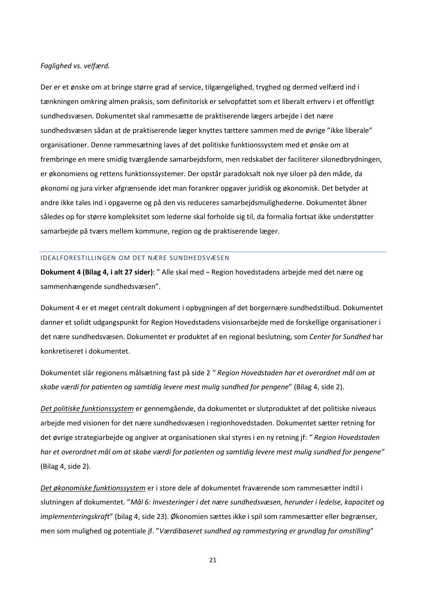#### *Faglighed vs. velfærd.*

Der er et ønske om at bringe større grad af service, tilgængelighed, tryghed og dermed velfærd ind i tænkningen omkring almen praksis, som definitorisk er selvopfattet som et liberalt erhverv i et offentligt sundhedsvæsen. Dokumentet skal rammesætte de praktiserende lægers arbejde i det nære sundhedsvæsen sådan at de praktiserende læger knyttes tættere sammen med de øvrige "ikke liberale" organisationer. Denne rammesætning laves af det politiske funktionssystem med et ønske om at frembringe en mere smidig tværgående samarbejdsform, men redskabet der faciliterer silonedbrydningen, er økonomiens og rettens funktionssystemer. Der opstår paradoksalt nok nye siloer på den måde, da økonomi og jura virker afgrænsende idet man forankrer opgaver juridisk og økonomisk. Det betyder at andre ikke tales ind i opgaverne og på den vis reduceres samarbejdsmulighederne. Dokumentet åbner således op for større kompleksitet som lederne skal forholde sig til, da formalia fortsat ikke understøtter samarbejde på tværs mellem kommune, region og de praktiserende læger.

#### <span id="page-21-0"></span>IDEALFORESTILLINGEN OM DET NÆRE SUNDHEDSVÆSEN

**Dokument 4 (Bilag 4, i alt 27 sider)**: " Alle skal med – Region hovedstadens arbejde med det nære og sammenhængende sundhedsvæsen".

Dokument 4 er et meget centralt dokument i opbygningen af det borgernære sundhedstilbud. Dokumentet danner et solidt udgangspunkt for Region Hovedstadens visionsarbejde med de forskellige organisationer i det nære sundhedsvæsen. Dokumentet er produktet af en regional beslutning, som *Center for Sundhed* har konkretiseret i dokumentet.

Dokumentet slår regionens målsætning fast på side 2 *" Region Hovedstaden har et overordnet mål om at skabe værdi for patienten og samtidig levere mest mulig sundhed for pengene*" (Bilag 4, side 2).

*Det politiske funktionssystem* er gennemgående, da dokumentet er slutproduktet af det politiske niveaus arbejde med visionen for det nære sundhedsvæsen i regionhovedstaden. Dokumentet sætter retning for det øvrige strategiarbejde og angiver at organisationen skal styres i en ny retning jf: *" Region Hovedstaden har et overordnet mål om at skabe værdi for patienten og samtidig levere mest mulig sundhed for pengene"* (Bilag 4, side 2).

*Det økonomiske funktionssystem* er i store dele af dokumentet fraværende som rammesætter indtil i slutningen af dokumentet. "*Mål 6: Investeringer i det nære sundhedsvæsen, herunder i ledelse, kapacitet og implementeringskraft*" (bilag 4, side 23). Økonomien sættes ikke i spil som rammesætter eller begrænser, men som mulighed og potentiale jf. "*Værdibaseret sundhed og rammestyring er grundlag for omstilling*"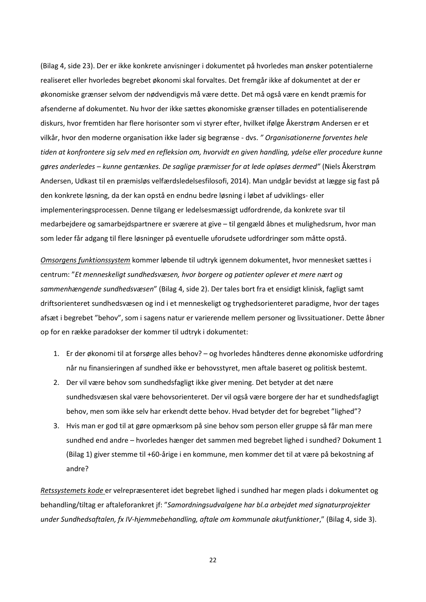(Bilag 4, side 23). Der er ikke konkrete anvisninger i dokumentet på hvorledes man ønsker potentialerne realiseret eller hvorledes begrebet økonomi skal forvaltes. Det fremgår ikke af dokumentet at der er økonomiske grænser selvom der nødvendigvis må være dette. Det må også være en kendt præmis for afsenderne af dokumentet. Nu hvor der ikke sættes økonomiske grænser tillades en potentialiserende diskurs, hvor fremtiden har flere horisonter som vi styrer efter, hvilket ifølge Åkerstrøm Andersen er et vilkår, hvor den moderne organisation ikke lader sig begrænse - dvs. *" Organisationerne forventes hele tiden at konfrontere sig selv med en refleksion om, hvorvidt en given handling, ydelse eller procedure kunne gøres anderledes – kunne gentænkes. De saglige præmisser for at lede opløses dermed"* (Niels Åkerstrøm Andersen, Udkast til en præmisløs velfærdsledelsesfilosofi, 2014). Man undgår bevidst at lægge sig fast på den konkrete løsning, da der kan opstå en endnu bedre løsning i løbet af udviklings- eller implementeringsprocessen. Denne tilgang er ledelsesmæssigt udfordrende, da konkrete svar til medarbejdere og samarbejdspartnere er sværere at give – til gengæld åbnes et mulighedsrum, hvor man som leder får adgang til flere løsninger på eventuelle uforudsete udfordringer som måtte opstå.

*Omsorgens funktionssystem* kommer løbende til udtryk igennem dokumentet, hvor mennesket sættes i centrum: "*Et menneskeligt sundhedsvæsen, hvor borgere og patienter oplever et mere nært og sammenhængende sundhedsvæsen*" (Bilag 4, side 2). Der tales bort fra et ensidigt klinisk, fagligt samt driftsorienteret sundhedsvæsen og ind i et menneskeligt og tryghedsorienteret paradigme, hvor der tages afsæt i begrebet "behov", som i sagens natur er varierende mellem personer og livssituationer. Dette åbner op for en række paradokser der kommer til udtryk i dokumentet:

- 1. Er der økonomi til at forsørge alles behov? og hvorledes håndteres denne økonomiske udfordring når nu finansieringen af sundhed ikke er behovsstyret, men aftale baseret og politisk bestemt.
- 2. Der vil være behov som sundhedsfagligt ikke giver mening. Det betyder at det nære sundhedsvæsen skal være behovsorienteret. Der vil også være borgere der har et sundhedsfagligt behov, men som ikke selv har erkendt dette behov. Hvad betyder det for begrebet "lighed"?
- 3. Hvis man er god til at gøre opmærksom på sine behov som person eller gruppe så får man mere sundhed end andre – hvorledes hænger det sammen med begrebet lighed i sundhed? Dokument 1 (Bilag 1) giver stemme til +60-årige i en kommune, men kommer det til at være på bekostning af andre?

*Retssystemets kode* er velrepræsenteret idet begrebet lighed i sundhed har megen plads i dokumentet og behandling/tiltag er aftaleforankret jf: "*Samordningsudvalgene har bl.a arbejdet med signaturprojekter under Sundhedsaftalen, fx IV-hjemmebehandling, aftale om kommunale akutfunktioner*," (Bilag 4, side 3).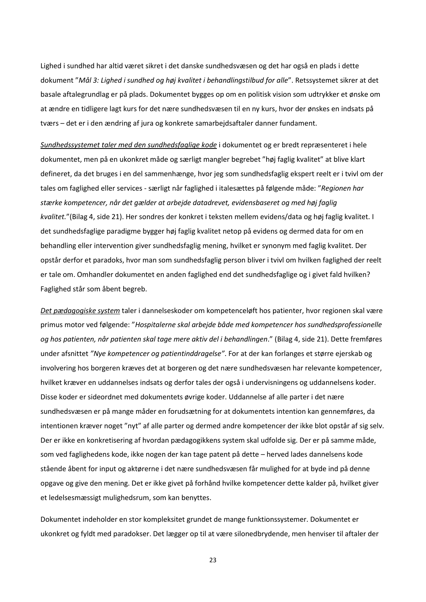Lighed i sundhed har altid været sikret i det danske sundhedsvæsen og det har også en plads i dette dokument "*Mål 3: Lighed i sundhed og høj kvalitet i behandlingstilbud for alle*". Retssystemet sikrer at det basale aftalegrundlag er på plads. Dokumentet bygges op om en politisk vision som udtrykker et ønske om at ændre en tidligere lagt kurs for det nære sundhedsvæsen til en ny kurs, hvor der ønskes en indsats på tværs – det er i den ændring af jura og konkrete samarbejdsaftaler danner fundament.

*Sundhedssystemet taler med den sundhedsfaglige kode* i dokumentet og er bredt repræsenteret i hele dokumentet, men på en ukonkret måde og særligt mangler begrebet "høj faglig kvalitet" at blive klart defineret, da det bruges i en del sammenhænge, hvor jeg som sundhedsfaglig ekspert reelt er i tvivl om der tales om faglighed eller services - særligt når faglighed i italesættes på følgende måde: "*Regionen har stærke kompetencer, når det gælder at arbejde datadrevet, evidensbaseret og med høj faglig kvalitet.*"(Bilag 4, side 21). Her sondres der konkret i teksten mellem evidens/data og høj faglig kvalitet. I det sundhedsfaglige paradigme bygger høj faglig kvalitet netop på evidens og dermed data for om en behandling eller intervention giver sundhedsfaglig mening, hvilket er synonym med faglig kvalitet. Der opstår derfor et paradoks, hvor man som sundhedsfaglig person bliver i tvivl om hvilken faglighed der reelt er tale om. Omhandler dokumentet en anden faglighed end det sundhedsfaglige og i givet fald hvilken? Faglighed står som åbent begreb.

*Det pædagogiske system* taler i dannelseskoder om kompetenceløft hos patienter, hvor regionen skal være primus motor ved følgende: "*Hospitalerne skal arbejde både med kompetencer hos sundhedsprofessionelle og hos patienten, når patienten skal tage mere aktiv del i behandlingen*." (Bilag 4, side 21). Dette fremføres under afsnittet *"Nye kompetencer og patientinddragelse"*. For at der kan forlanges et større ejerskab og involvering hos borgeren kræves det at borgeren og det nære sundhedsvæsen har relevante kompetencer, hvilket kræver en uddannelses indsats og derfor tales der også i undervisningens og uddannelsens koder. Disse koder er sideordnet med dokumentets øvrige koder. Uddannelse af alle parter i det nære sundhedsvæsen er på mange måder en forudsætning for at dokumentets intention kan gennemføres, da intentionen kræver noget "nyt" af alle parter og dermed andre kompetencer der ikke blot opstår af sig selv. Der er ikke en konkretisering af hvordan pædagogikkens system skal udfolde sig. Der er på samme måde, som ved faglighedens kode, ikke nogen der kan tage patent på dette – herved lades dannelsens kode stående åbent for input og aktørerne i det nære sundhedsvæsen får mulighed for at byde ind på denne opgave og give den mening. Det er ikke givet på forhånd hvilke kompetencer dette kalder på, hvilket giver et ledelsesmæssigt mulighedsrum, som kan benyttes.

Dokumentet indeholder en stor kompleksitet grundet de mange funktionssystemer. Dokumentet er ukonkret og fyldt med paradokser. Det lægger op til at være silonedbrydende, men henviser til aftaler der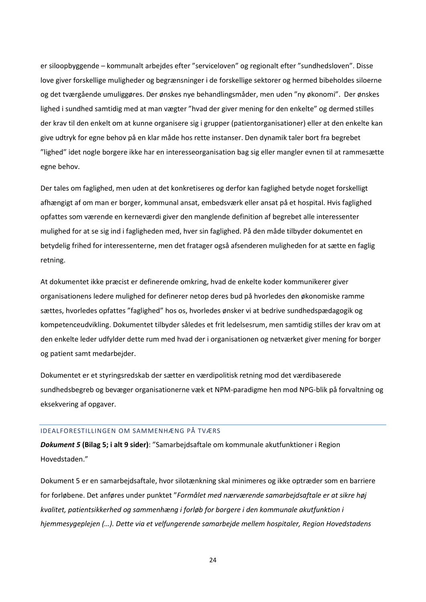er siloopbyggende – kommunalt arbejdes efter "serviceloven" og regionalt efter "sundhedsloven". Disse love giver forskellige muligheder og begrænsninger i de forskellige sektorer og hermed bibeholdes siloerne og det tværgående umuliggøres. Der ønskes nye behandlingsmåder, men uden "ny økonomi". Der ønskes lighed i sundhed samtidig med at man vægter "hvad der giver mening for den enkelte" og dermed stilles der krav til den enkelt om at kunne organisere sig i grupper (patientorganisationer) eller at den enkelte kan give udtryk for egne behov på en klar måde hos rette instanser. Den dynamik taler bort fra begrebet "lighed" idet nogle borgere ikke har en interesseorganisation bag sig eller mangler evnen til at rammesætte egne behov.

Der tales om faglighed, men uden at det konkretiseres og derfor kan faglighed betyde noget forskelligt afhængigt af om man er borger, kommunal ansat, embedsværk eller ansat på et hospital. Hvis faglighed opfattes som værende en kerneværdi giver den manglende definition af begrebet alle interessenter mulighed for at se sig ind i fagligheden med, hver sin faglighed. På den måde tilbyder dokumentet en betydelig frihed for interessenterne, men det fratager også afsenderen muligheden for at sætte en faglig retning.

At dokumentet ikke præcist er definerende omkring, hvad de enkelte koder kommunikerer giver organisationens ledere mulighed for definerer netop deres bud på hvorledes den økonomiske ramme sættes, hvorledes opfattes "faglighed" hos os, hvorledes ønsker vi at bedrive sundhedspædagogik og kompetenceudvikling. Dokumentet tilbyder således et frit ledelsesrum, men samtidig stilles der krav om at den enkelte leder udfylder dette rum med hvad der i organisationen og netværket giver mening for borger og patient samt medarbejder.

Dokumentet er et styringsredskab der sætter en værdipolitisk retning mod det værdibaserede sundhedsbegreb og bevæger organisationerne væk et NPM-paradigme hen mod NPG-blik på forvaltning og eksekvering af opgaver.

# <span id="page-24-0"></span>IDEALFORESTILLINGEN OM SAMMENHÆNG PÅ TVÆRS

*Dokument 5* **(Bilag 5; i alt 9 sider)**: "Samarbejdsaftale om kommunale akutfunktioner i Region Hovedstaden."

Dokument 5 er en samarbejdsaftale, hvor silotænkning skal minimeres og ikke optræder som en barriere for forløbene. Det anføres under punktet "*Formålet med nærværende samarbejdsaftale er at sikre høj kvalitet, patientsikkerhed og sammenhæng i forløb for borgere i den kommunale akutfunktion i hjemmesygeplejen (…). Dette via et velfungerende samarbejde mellem hospitaler, Region Hovedstadens*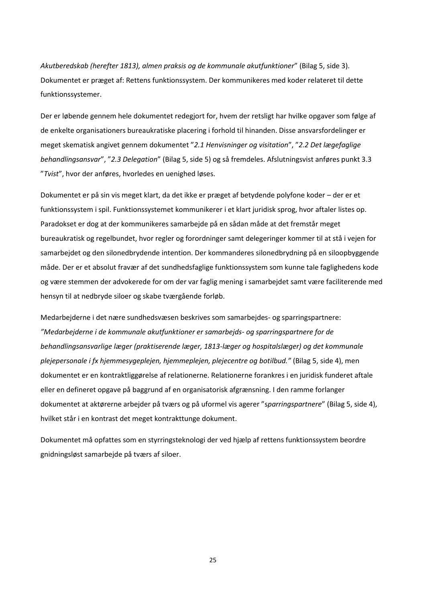*Akutberedskab (herefter 1813), almen praksis og de kommunale akutfunktioner*" (Bilag 5, side 3). Dokumentet er præget af: Rettens funktionssystem. Der kommunikeres med koder relateret til dette funktionssystemer.

Der er løbende gennem hele dokumentet redegjort for, hvem der retsligt har hvilke opgaver som følge af de enkelte organisationers bureaukratiske placering i forhold til hinanden. Disse ansvarsfordelinger er meget skematisk angivet gennem dokumentet "*2.1 Henvisninger og visitation*", "*2.2 Det lægefaglige behandlingsansvar*", "*2.3 Delegation*" (Bilag 5, side 5) og så fremdeles. Afslutningsvist anføres punkt 3.3 "*Tvist*", hvor der anføres, hvorledes en uenighed løses.

Dokumentet er på sin vis meget klart, da det ikke er præget af betydende polyfone koder – der er et funktionssystem i spil. Funktionssystemet kommunikerer i et klart juridisk sprog, hvor aftaler listes op. Paradokset er dog at der kommunikeres samarbejde på en sådan måde at det fremstår meget bureaukratisk og regelbundet, hvor regler og forordninger samt delegeringer kommer til at stå i vejen for samarbejdet og den silonedbrydende intention. Der kommanderes silonedbrydning på en siloopbyggende måde. Der er et absolut fravær af det sundhedsfaglige funktionssystem som kunne tale faglighedens kode og være stemmen der advokerede for om der var faglig mening i samarbejdet samt være faciliterende med hensyn til at nedbryde siloer og skabe tværgående forløb.

Medarbejderne i det nære sundhedsvæsen beskrives som samarbejdes- og sparringspartnere: *"Medarbejderne i de kommunale akutfunktioner er samarbejds- og sparringspartnere for de behandlingsansvarlige læger (praktiserende læger, 1813-læger og hospitalslæger) og det kommunale plejepersonale i fx hjemmesygeplejen, hjemmeplejen, plejecentre og botilbud."* (Bilag 5, side 4), men dokumentet er en kontraktliggørelse af relationerne. Relationerne forankres i en juridisk funderet aftale eller en defineret opgave på baggrund af en organisatorisk afgrænsning. I den ramme forlanger dokumentet at aktørerne arbejder på tværs og på uformel vis agerer "s*parringspartnere*" (Bilag 5, side 4), hvilket står i en kontrast det meget kontrakttunge dokument.

Dokumentet må opfattes som en styrringsteknologi der ved hjælp af rettens funktionssystem beordre gnidningsløst samarbejde på tværs af siloer.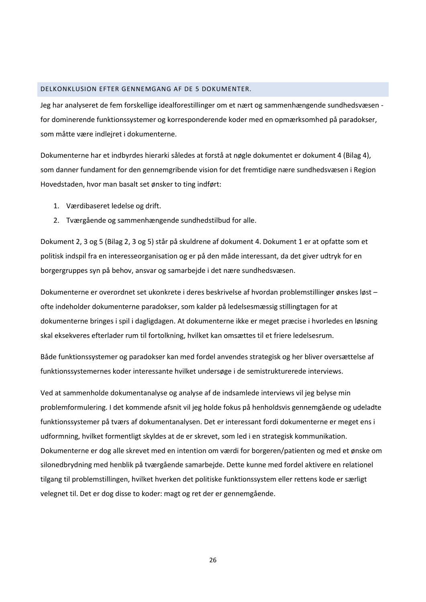# <span id="page-26-0"></span>DELKONKLUSION EFTER GENNEMGANG AF DE 5 DOKUMENTER.

Jeg har analyseret de fem forskellige idealforestillinger om et nært og sammenhængende sundhedsvæsen for dominerende funktionssystemer og korresponderende koder med en opmærksomhed på paradokser, som måtte være indlejret i dokumenterne.

Dokumenterne har et indbyrdes hierarki således at forstå at nøgle dokumentet er dokument 4 (Bilag 4), som danner fundament for den gennemgribende vision for det fremtidige nære sundhedsvæsen i Region Hovedstaden, hvor man basalt set ønsker to ting indført:

- 1. Værdibaseret ledelse og drift.
- 2. Tværgående og sammenhængende sundhedstilbud for alle.

Dokument 2, 3 og 5 (Bilag 2, 3 og 5) står på skuldrene af dokument 4. Dokument 1 er at opfatte som et politisk indspil fra en interesseorganisation og er på den måde interessant, da det giver udtryk for en borgergruppes syn på behov, ansvar og samarbejde i det nære sundhedsvæsen.

Dokumenterne er overordnet set ukonkrete i deres beskrivelse af hvordan problemstillinger ønskes løst – ofte indeholder dokumenterne paradokser, som kalder på ledelsesmæssig stillingtagen for at dokumenterne bringes i spil i dagligdagen. At dokumenterne ikke er meget præcise i hvorledes en løsning skal eksekveres efterlader rum til fortolkning, hvilket kan omsættes til et friere ledelsesrum.

Både funktionssystemer og paradokser kan med fordel anvendes strategisk og her bliver oversættelse af funktionssystemernes koder interessante hvilket undersøge i de semistrukturerede interviews.

Ved at sammenholde dokumentanalyse og analyse af de indsamlede interviews vil jeg belyse min problemformulering. I det kommende afsnit vil jeg holde fokus på henholdsvis gennemgående og udeladte funktionssystemer på tværs af dokumentanalysen. Det er interessant fordi dokumenterne er meget ens i udformning, hvilket formentligt skyldes at de er skrevet, som led i en strategisk kommunikation. Dokumenterne er dog alle skrevet med en intention om værdi for borgeren/patienten og med et ønske om silonedbrydning med henblik på tværgående samarbejde. Dette kunne med fordel aktivere en relationel tilgang til problemstillingen, hvilket hverken det politiske funktionssystem eller rettens kode er særligt velegnet til. Det er dog disse to koder: magt og ret der er gennemgående.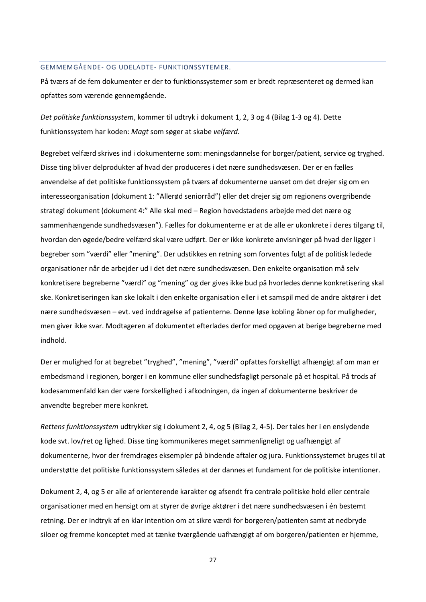# <span id="page-27-0"></span>GEMMEMGÅENDE- OG UDELADTE- FUNKTIONSSYTEMER.

På tværs af de fem dokumenter er der to funktionssystemer som er bredt repræsenteret og dermed kan opfattes som værende gennemgående.

*Det politiske funktionssystem*, kommer til udtryk i dokument 1, 2, 3 og 4 (Bilag 1-3 og 4). Dette funktionssystem har koden: *Magt* som søger at skabe *velfærd*.

Begrebet velfærd skrives ind i dokumenterne som: meningsdannelse for borger/patient, service og tryghed. Disse ting bliver delprodukter af hvad der produceres i det nære sundhedsvæsen. Der er en fælles anvendelse af det politiske funktionssystem på tværs af dokumenterne uanset om det drejer sig om en interesseorganisation (dokument 1: "Allerød seniorråd") eller det drejer sig om regionens overgribende strategi dokument (dokument 4:" Alle skal med – Region hovedstadens arbejde med det nære og sammenhængende sundhedsvæsen"). Fælles for dokumenterne er at de alle er ukonkrete i deres tilgang til, hvordan den øgede/bedre velfærd skal være udført. Der er ikke konkrete anvisninger på hvad der ligger i begreber som "værdi" eller "mening". Der udstikkes en retning som forventes fulgt af de politisk ledede organisationer når de arbejder ud i det det nære sundhedsvæsen. Den enkelte organisation må selv konkretisere begreberne "værdi" og "mening" og der gives ikke bud på hvorledes denne konkretisering skal ske. Konkretiseringen kan ske lokalt i den enkelte organisation eller i et samspil med de andre aktører i det nære sundhedsvæsen – evt. ved inddragelse af patienterne. Denne løse kobling åbner op for muligheder, men giver ikke svar. Modtageren af dokumentet efterlades derfor med opgaven at berige begreberne med indhold.

Der er mulighed for at begrebet "tryghed", "mening", "værdi" opfattes forskelligt afhængigt af om man er embedsmand i regionen, borger i en kommune eller sundhedsfagligt personale på et hospital. På trods af kodesammenfald kan der være forskellighed i afkodningen, da ingen af dokumenterne beskriver de anvendte begreber mere konkret.

*Rettens funktionssystem* udtrykker sig i dokument 2, 4, og 5 (Bilag 2, 4-5). Der tales her i en enslydende kode svt. lov/ret og lighed. Disse ting kommunikeres meget sammenligneligt og uafhængigt af dokumenterne, hvor der fremdrages eksempler på bindende aftaler og jura. Funktionssystemet bruges til at understøtte det politiske funktionssystem således at der dannes et fundament for de politiske intentioner.

Dokument 2, 4, og 5 er alle af orienterende karakter og afsendt fra centrale politiske hold eller centrale organisationer med en hensigt om at styrer de øvrige aktører i det nære sundhedsvæsen i én bestemt retning. Der er indtryk af en klar intention om at sikre værdi for borgeren/patienten samt at nedbryde siloer og fremme konceptet med at tænke tværgående uafhængigt af om borgeren/patienten er hjemme,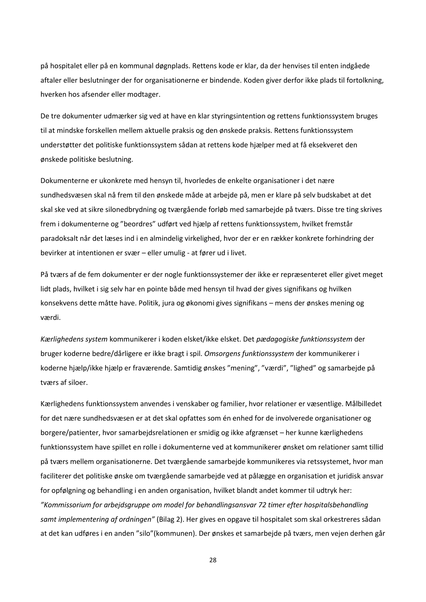på hospitalet eller på en kommunal døgnplads. Rettens kode er klar, da der henvises til enten indgåede aftaler eller beslutninger der for organisationerne er bindende. Koden giver derfor ikke plads til fortolkning, hverken hos afsender eller modtager.

De tre dokumenter udmærker sig ved at have en klar styringsintention og rettens funktionssystem bruges til at mindske forskellen mellem aktuelle praksis og den ønskede praksis. Rettens funktionssystem understøtter det politiske funktionssystem sådan at rettens kode hjælper med at få eksekveret den ønskede politiske beslutning.

Dokumenterne er ukonkrete med hensyn til, hvorledes de enkelte organisationer i det nære sundhedsvæsen skal nå frem til den ønskede måde at arbejde på, men er klare på selv budskabet at det skal ske ved at sikre silonedbrydning og tværgående forløb med samarbejde på tværs. Disse tre ting skrives frem i dokumenterne og "beordres" udført ved hjælp af rettens funktionssystem, hvilket fremstår paradoksalt når det læses ind i en almindelig virkelighed, hvor der er en rækker konkrete forhindring der bevirker at intentionen er svær – eller umulig - at fører ud i livet.

På tværs af de fem dokumenter er der nogle funktionssystemer der ikke er repræsenteret eller givet meget lidt plads, hvilket i sig selv har en pointe både med hensyn til hvad der gives signifikans og hvilken konsekvens dette måtte have. Politik, jura og økonomi gives signifikans – mens der ønskes mening og værdi.

*Kærlighedens system* kommunikerer i koden elsket/ikke elsket. Det *pædagogiske funktionssystem* der bruger koderne bedre/dårligere er ikke bragt i spil. *Omsorgens funktionssystem* der kommunikerer i koderne hjælp/ikke hjælp er fraværende. Samtidig ønskes "mening", "værdi", "lighed" og samarbejde på tværs af siloer.

Kærlighedens funktionssystem anvendes i venskaber og familier, hvor relationer er væsentlige. Målbilledet for det nære sundhedsvæsen er at det skal opfattes som én enhed for de involverede organisationer og borgere/patienter, hvor samarbejdsrelationen er smidig og ikke afgrænset – her kunne kærlighedens funktionssystem have spillet en rolle i dokumenterne ved at kommunikerer ønsket om relationer samt tillid på tværs mellem organisationerne. Det tværgående samarbejde kommunikeres via retssystemet, hvor man faciliterer det politiske ønske om tværgående samarbejde ved at pålægge en organisation et juridisk ansvar for opfølgning og behandling i en anden organisation, hvilket blandt andet kommer til udtryk her: *"Kommissorium for arbejdsgruppe om model for behandlingsansvar 72 timer efter hospitalsbehandling samt implementering af ordningen"* (Bilag 2). Her gives en opgave til hospitalet som skal orkestreres sådan at det kan udføres i en anden "silo"(kommunen). Der ønskes et samarbejde på tværs, men vejen derhen går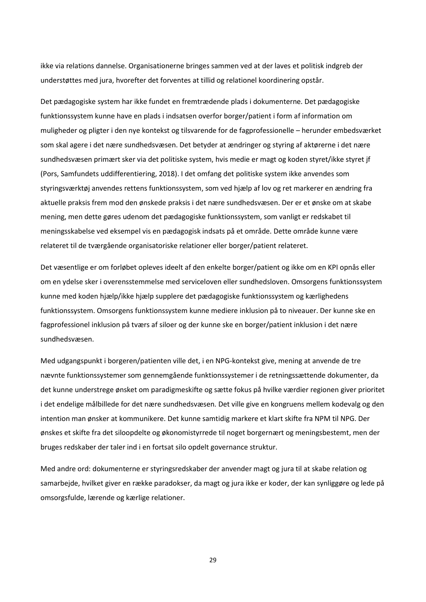ikke via relations dannelse. Organisationerne bringes sammen ved at der laves et politisk indgreb der understøttes med jura, hvorefter det forventes at tillid og relationel koordinering opstår.

Det pædagogiske system har ikke fundet en fremtrædende plads i dokumenterne. Det pædagogiske funktionssystem kunne have en plads i indsatsen overfor borger/patient i form af information om muligheder og pligter i den nye kontekst og tilsvarende for de fagprofessionelle – herunder embedsværket som skal agere i det nære sundhedsvæsen. Det betyder at ændringer og styring af aktørerne i det nære sundhedsvæsen primært sker via det politiske system, hvis medie er magt og koden styret/ikke styret jf (Pors, Samfundets uddifferentiering, 2018). I det omfang det politiske system ikke anvendes som styringsværktøj anvendes rettens funktionssystem, som ved hjælp af lov og ret markerer en ændring fra aktuelle praksis frem mod den ønskede praksis i det nære sundhedsvæsen. Der er et ønske om at skabe mening, men dette gøres udenom det pædagogiske funktionssystem, som vanligt er redskabet til meningsskabelse ved eksempel vis en pædagogisk indsats på et område. Dette område kunne være relateret til de tværgående organisatoriske relationer eller borger/patient relateret.

Det væsentlige er om forløbet opleves ideelt af den enkelte borger/patient og ikke om en KPI opnås eller om en ydelse sker i overensstemmelse med serviceloven eller sundhedsloven. Omsorgens funktionssystem kunne med koden hjælp/ikke hjælp supplere det pædagogiske funktionssystem og kærlighedens funktionssystem. Omsorgens funktionssystem kunne mediere inklusion på to niveauer. Der kunne ske en fagprofessionel inklusion på tværs af siloer og der kunne ske en borger/patient inklusion i det nære sundhedsvæsen.

Med udgangspunkt i borgeren/patienten ville det, i en NPG-kontekst give, mening at anvende de tre nævnte funktionssystemer som gennemgående funktionssystemer i de retningssættende dokumenter, da det kunne understrege ønsket om paradigmeskifte og sætte fokus på hvilke værdier regionen giver prioritet i det endelige målbillede for det nære sundhedsvæsen. Det ville give en kongruens mellem kodevalg og den intention man ønsker at kommunikere. Det kunne samtidig markere et klart skifte fra NPM til NPG. Der ønskes et skifte fra det siloopdelte og økonomistyrrede til noget borgernært og meningsbestemt, men der bruges redskaber der taler ind i en fortsat silo opdelt governance struktur.

Med andre ord: dokumenterne er styringsredskaber der anvender magt og jura til at skabe relation og samarbejde, hvilket giver en række paradokser, da magt og jura ikke er koder, der kan synliggøre og lede på omsorgsfulde, lærende og kærlige relationer.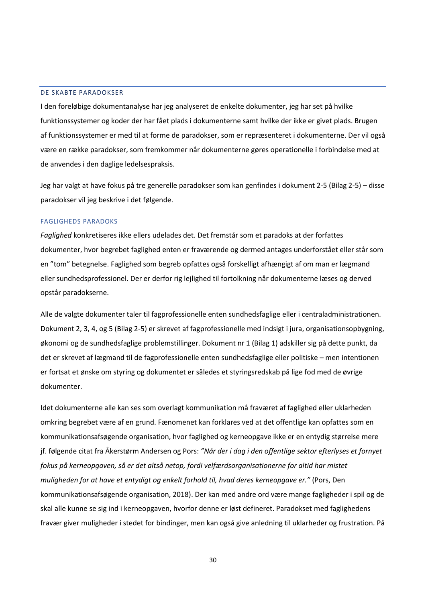#### <span id="page-30-0"></span>DE SKABTE PARADOKSER

I den foreløbige dokumentanalyse har jeg analyseret de enkelte dokumenter, jeg har set på hvilke funktionssystemer og koder der har fået plads i dokumenterne samt hvilke der ikke er givet plads. Brugen af funktionssystemer er med til at forme de paradokser, som er repræsenteret i dokumenterne. Der vil også være en række paradokser, som fremkommer når dokumenterne gøres operationelle i forbindelse med at de anvendes i den daglige ledelsespraksis.

Jeg har valgt at have fokus på tre generelle paradokser som kan genfindes i dokument 2-5 (Bilag 2-5) – disse paradokser vil jeg beskrive i det følgende.

#### FAGLIGHEDS PARADOKS

*Faglighed* konkretiseres ikke ellers udelades det. Det fremstår som et paradoks at der forfattes dokumenter, hvor begrebet faglighed enten er fraværende og dermed antages underforstået eller står som en "tom" betegnelse. Faglighed som begreb opfattes også forskelligt afhængigt af om man er lægmand eller sundhedsprofessionel. Der er derfor rig lejlighed til fortolkning når dokumenterne læses og derved opstår paradokserne.

Alle de valgte dokumenter taler til fagprofessionelle enten sundhedsfaglige eller i centraladministrationen. Dokument 2, 3, 4, og 5 (Bilag 2-5) er skrevet af fagprofessionelle med indsigt i jura, organisationsopbygning, økonomi og de sundhedsfaglige problemstillinger. Dokument nr 1 (Bilag 1) adskiller sig på dette punkt, da det er skrevet af lægmand til de fagprofessionelle enten sundhedsfaglige eller politiske – men intentionen er fortsat et ønske om styring og dokumentet er således et styringsredskab på lige fod med de øvrige dokumenter.

Idet dokumenterne alle kan ses som overlagt kommunikation må fraværet af faglighed eller uklarheden omkring begrebet være af en grund. Fænomenet kan forklares ved at det offentlige kan opfattes som en kommunikationsafsøgende organisation, hvor faglighed og kerneopgave ikke er en entydig størrelse mere jf. følgende citat fra Åkerstørm Andersen og Pors: *"Når der i dag i den offentlige sektor efterlyses et fornyet fokus på kerneopgaven, så er det altså netop, fordi velfærdsorganisationerne for altid har mistet muligheden for at have et entydigt og enkelt forhold til, hvad deres kerneopgave er."* (Pors, Den kommunikationsafsøgende organisation, 2018). Der kan med andre ord være mange fagligheder i spil og de skal alle kunne se sig ind i kerneopgaven, hvorfor denne er løst defineret. Paradokset med faglighedens fravær giver muligheder i stedet for bindinger, men kan også give anledning til uklarheder og frustration. På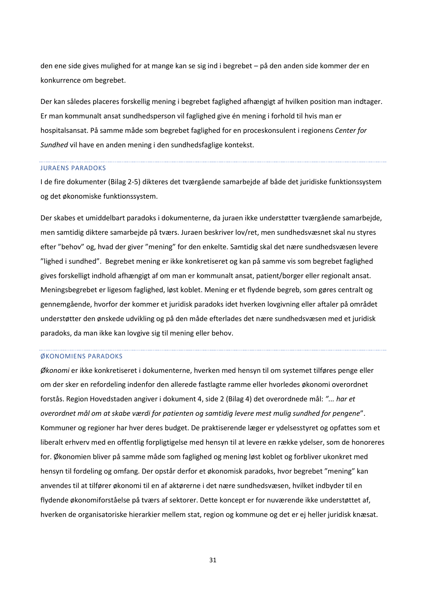den ene side gives mulighed for at mange kan se sig ind i begrebet – på den anden side kommer der en konkurrence om begrebet.

Der kan således placeres forskellig mening i begrebet faglighed afhængigt af hvilken position man indtager. Er man kommunalt ansat sundhedsperson vil faglighed give én mening i forhold til hvis man er hospitalsansat. På samme måde som begrebet faglighed for en proceskonsulent i regionens *Center for Sundhed* vil have en anden mening i den sundhedsfaglige kontekst.

#### JURAENS PARADOKS

I de fire dokumenter (Bilag 2-5) dikteres det tværgående samarbejde af både det juridiske funktionssystem og det økonomiske funktionssystem.

Der skabes et umiddelbart paradoks i dokumenterne, da juraen ikke understøtter tværgående samarbejde, men samtidig diktere samarbejde på tværs. Juraen beskriver lov/ret, men sundhedsvæsnet skal nu styres efter "behov" og, hvad der giver "mening" for den enkelte. Samtidig skal det nære sundhedsvæsen levere "lighed i sundhed". Begrebet mening er ikke konkretiseret og kan på samme vis som begrebet faglighed gives forskelligt indhold afhængigt af om man er kommunalt ansat, patient/borger eller regionalt ansat. Meningsbegrebet er ligesom faglighed, løst koblet. Mening er et flydende begreb, som gøres centralt og gennemgående, hvorfor der kommer et juridisk paradoks idet hverken lovgivning eller aftaler på området understøtter den ønskede udvikling og på den måde efterlades det nære sundhedsvæsen med et juridisk paradoks, da man ikke kan lovgive sig til mening eller behov.

# ØKONOMIENS PARADOKS

*Økonomi* er ikke konkretiseret i dokumenterne, hverken med hensyn til om systemet tilføres penge eller om der sker en refordeling indenfor den allerede fastlagte ramme eller hvorledes økonomi overordnet forstås. Region Hovedstaden angiver i dokument 4, side 2 (Bilag 4) det overordnede mål: *"... har et overordnet mål om at skabe værdi for patienten og samtidig levere mest mulig sundhed for pengene*". Kommuner og regioner har hver deres budget. De praktiserende læger er ydelsesstyret og opfattes som et liberalt erhverv med en offentlig forpligtigelse med hensyn til at levere en række ydelser, som de honoreres for. Økonomien bliver på samme måde som faglighed og mening løst koblet og forbliver ukonkret med hensyn til fordeling og omfang. Der opstår derfor et økonomisk paradoks, hvor begrebet "mening" kan anvendes til at tilfører økonomi til en af aktørerne i det nære sundhedsvæsen, hvilket indbyder til en flydende økonomiforståelse på tværs af sektorer. Dette koncept er for nuværende ikke understøttet af, hverken de organisatoriske hierarkier mellem stat, region og kommune og det er ej heller juridisk knæsat.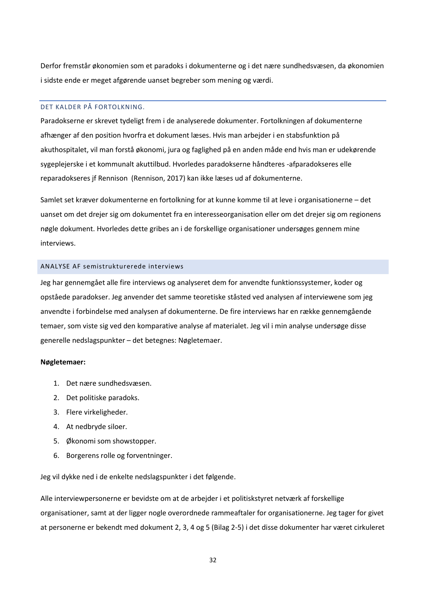Derfor fremstår økonomien som et paradoks i dokumenterne og i det nære sundhedsvæsen, da økonomien i sidste ende er meget afgørende uanset begreber som mening og værdi.

# <span id="page-32-0"></span>DET KALDER PÅ FORTOLKNING.

Paradokserne er skrevet tydeligt frem i de analyserede dokumenter. Fortolkningen af dokumenterne afhænger af den position hvorfra et dokument læses. Hvis man arbejder i en stabsfunktion på akuthospitalet, vil man forstå økonomi, jura og faglighed på en anden måde end hvis man er udekørende sygeplejerske i et kommunalt akuttilbud. Hvorledes paradokserne håndteres -afparadokseres elle reparadokseres jf Rennison (Rennison, 2017) kan ikke læses ud af dokumenterne.

Samlet set kræver dokumenterne en fortolkning for at kunne komme til at leve i organisationerne – det uanset om det drejer sig om dokumentet fra en interesseorganisation eller om det drejer sig om regionens nøgle dokument. Hvorledes dette gribes an i de forskellige organisationer undersøges gennem mine interviews.

#### <span id="page-32-1"></span>ANALYSE AF semistrukturerede interviews

Jeg har gennemgået alle fire interviews og analyseret dem for anvendte funktionssystemer, koder og opståede paradokser. Jeg anvender det samme teoretiske ståsted ved analysen af interviewene som jeg anvendte i forbindelse med analysen af dokumenterne. De fire interviews har en række gennemgående temaer, som viste sig ved den komparative analyse af materialet. Jeg vil i min analyse undersøge disse generelle nedslagspunkter – det betegnes: Nøgletemaer.

#### **Nøgletemaer:**

- 1. Det nære sundhedsvæsen.
- 2. Det politiske paradoks.
- 3. Flere virkeligheder.
- 4. At nedbryde siloer.
- 5. Økonomi som showstopper.
- 6. Borgerens rolle og forventninger.

Jeg vil dykke ned i de enkelte nedslagspunkter i det følgende.

Alle interviewpersonerne er bevidste om at de arbejder i et politiskstyret netværk af forskellige organisationer, samt at der ligger nogle overordnede rammeaftaler for organisationerne. Jeg tager for givet at personerne er bekendt med dokument 2, 3, 4 og 5 (Bilag 2-5) i det disse dokumenter har været cirkuleret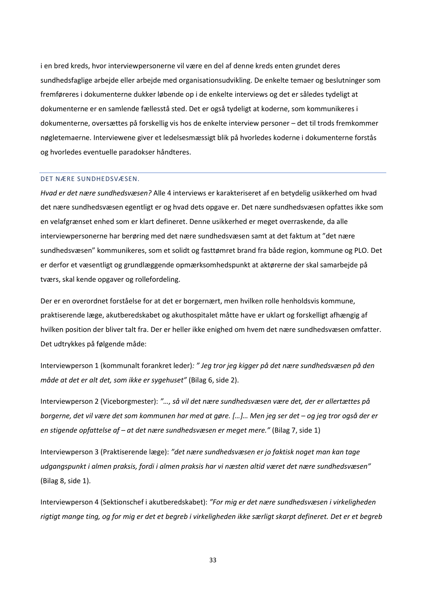i en bred kreds, hvor interviewpersonerne vil være en del af denne kreds enten grundet deres sundhedsfaglige arbejde eller arbejde med organisationsudvikling. De enkelte temaer og beslutninger som fremføreres i dokumenterne dukker løbende op i de enkelte interviews og det er således tydeligt at dokumenterne er en samlende fællesstå sted. Det er også tydeligt at koderne, som kommunikeres i dokumenterne, oversættes på forskellig vis hos de enkelte interview personer – det til trods fremkommer nøgletemaerne. Interviewene giver et ledelsesmæssigt blik på hvorledes koderne i dokumenterne forstås og hvorledes eventuelle paradokser håndteres.

# <span id="page-33-0"></span>DET NÆRE SUNDHEDSVÆSEN.

*Hvad er det nære sundhedsvæsen?* Alle 4 interviews er karakteriseret af en betydelig usikkerhed om hvad det nære sundhedsvæsen egentligt er og hvad dets opgave er. Det nære sundhedsvæsen opfattes ikke som en velafgrænset enhed som er klart defineret. Denne usikkerhed er meget overraskende, da alle interviewpersonerne har berøring med det nære sundhedsvæsen samt at det faktum at "det nære sundhedsvæsen" kommunikeres, som et solidt og fasttømret brand fra både region, kommune og PLO. Det er derfor et væsentligt og grundlæggende opmærksomhedspunkt at aktørerne der skal samarbejde på tværs, skal kende opgaver og rollefordeling.

Der er en overordnet forståelse for at det er borgernært, men hvilken rolle henholdsvis kommune, praktiserende læge, akutberedskabet og akuthospitalet måtte have er uklart og forskelligt afhængig af hvilken position der bliver talt fra. Der er heller ikke enighed om hvem det nære sundhedsvæsen omfatter. Det udtrykkes på følgende måde:

Interviewperson 1 (kommunalt forankret leder)*: " Jeg tror jeg kigger på det nære sundhedsvæsen på den måde at det er alt det, som ikke er sygehuset"* (Bilag 6, side 2).

Interviewperson 2 (Viceborgmester): *"…, så vil det nære sundhedsvæsen være det, der er allertættes på borgerne, det vil være det som kommunen har med at gøre. […]… Men jeg ser det – og jeg tror også der er en stigende opfattelse af – at det nære sundhedsvæsen er meget mere."* (Bilag 7, side 1)

Interviewperson 3 (Praktiserende læge): *"det nære sundhedsvæsen er jo faktisk noget man kan tage udgangspunkt i almen praksis, fordi i almen praksis har vi næsten altid været det nære sundhedsvæsen"* (Bilag 8, side 1).

Interviewperson 4 (Sektionschef i akutberedskabet): *"For mig er det nære sundhedsvæsen i virkeligheden rigtigt mange ting, og for mig er det et begreb i virkeligheden ikke særligt skarpt defineret. Det er et begreb*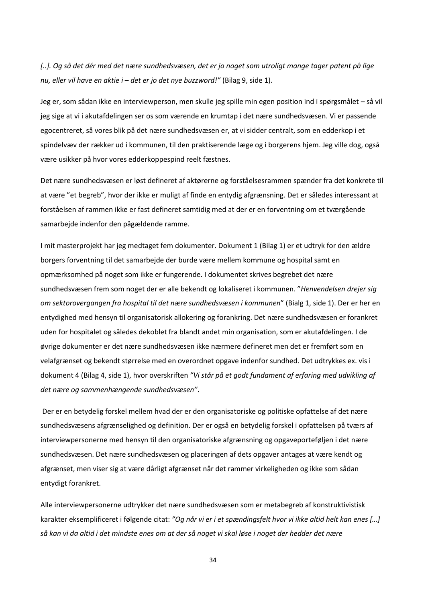*[..]. Og så det dér med det nære sundhedsvæsen, det er jo noget som utroligt mange tager patent på lige nu, eller vil have en aktie i – det er jo det nye buzzword!"* (Bilag 9, side 1).

Jeg er, som sådan ikke en interviewperson, men skulle jeg spille min egen position ind i spørgsmålet – så vil jeg sige at vi i akutafdelingen ser os som værende en krumtap i det nære sundhedsvæsen. Vi er passende egocentreret, så vores blik på det nære sundhedsvæsen er, at vi sidder centralt, som en edderkop i et spindelvæv der rækker ud i kommunen, til den praktiserende læge og i borgerens hjem. Jeg ville dog, også være usikker på hvor vores edderkoppespind reelt fæstnes.

Det nære sundhedsvæsen er løst defineret af aktørerne og forståelsesrammen spænder fra det konkrete til at være "et begreb", hvor der ikke er muligt af finde en entydig afgrænsning. Det er således interessant at forståelsen af rammen ikke er fast defineret samtidig med at der er en forventning om et tværgående samarbejde indenfor den pågældende ramme.

I mit masterprojekt har jeg medtaget fem dokumenter. Dokument 1 (Bilag 1) er et udtryk for den ældre borgers forventning til det samarbejde der burde være mellem kommune og hospital samt en opmærksomhed på noget som ikke er fungerende. I dokumentet skrives begrebet det nære sundhedsvæsen frem som noget der er alle bekendt og lokaliseret i kommunen. "*Henvendelsen drejer sig om sektorovergangen fra hospital til det nære sundhedsvæsen i kommunen*" (Bialg 1, side 1). Der er her en entydighed med hensyn til organisatorisk allokering og forankring. Det nære sundhedsvæsen er forankret uden for hospitalet og således dekoblet fra blandt andet min organisation, som er akutafdelingen. I de øvrige dokumenter er det nære sundhedsvæsen ikke nærmere defineret men det er fremført som en velafgrænset og bekendt størrelse med en overordnet opgave indenfor sundhed. Det udtrykkes ex. vis i dokument 4 (Bilag 4, side 1), hvor overskriften *"Vi står på et godt fundament af erfaring med udvikling af det nære og sammenhængende sundhedsvæsen"*.

Der er en betydelig forskel mellem hvad der er den organisatoriske og politiske opfattelse af det nære sundhedsvæsens afgrænselighed og definition. Der er også en betydelig forskel i opfattelsen på tværs af interviewpersonerne med hensyn til den organisatoriske afgrænsning og opgaveporteføljen i det nære sundhedsvæsen. Det nære sundhedsvæsen og placeringen af dets opgaver antages at være kendt og afgrænset, men viser sig at være dårligt afgrænset når det rammer virkeligheden og ikke som sådan entydigt forankret.

Alle interviewpersonerne udtrykker det nære sundhedsvæsen som er metabegreb af konstruktivistisk karakter eksemplificeret i følgende citat: *"Og når vi er i et spændingsfelt hvor vi ikke altid helt kan enes […] så kan vi da altid i det mindste enes om at der så noget vi skal løse i noget der hedder det nære*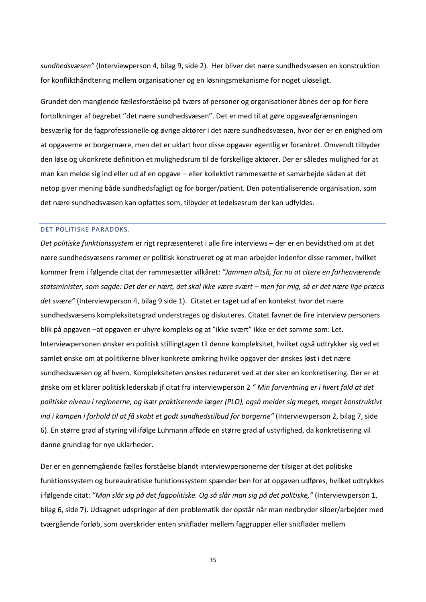*sundhedsvæsen"* (Interviewperson 4, bilag 9, side 2)*.* Her bliver det nære sundhedsvæsen en konstruktion for konflikthåndtering mellem organisationer og en løsningsmekanisme for noget uløseligt.

Grundet den manglende fællesforståelse på tværs af personer og organisationer åbnes der op for flere fortolkninger af begrebet "det nære sundhedsvæsen". Det er med til at gøre opgaveafgrænsningen besværlig for de fagprofessionelle og øvrige aktører i det nære sundhedsvæsen, hvor der er en enighed om at opgaverne er borgernære, men det er uklart hvor disse opgaver egentlig er forankret. Omvendt tilbyder den løse og ukonkrete definition et mulighedsrum til de forskellige aktører. Der er således mulighed for at man kan melde sig ind eller ud af en opgave – eller kollektivt rammesætte et samarbejde sådan at det netop giver mening både sundhedsfagligt og for borger/patient. Den potentialiserende organisation, som det nære sundhedsvæsen kan opfattes som, tilbyder et ledelsesrum der kan udfyldes.

### <span id="page-35-0"></span>DET POLITISKE PARADOKS.

*Det politiske funktionssystem* er rigt repræsenteret i alle fire interviews – der er en bevidsthed om at det nære sundhedsvæsens rammer er politisk konstrueret og at man arbejder indenfor disse rammer, hvilket kommer frem i følgende citat der rammesætter vilkåret: *"Jammen altså, for nu at citere en forhenværende statsminister, som sagde: Det der er nært, det skal ikke være svært – men for mig, så er det nære lige præcis det svære"* (Interviewperson 4, bilag 9 side 1). Citatet er taget ud af en kontekst hvor det nære sundhedsvæsens kompleksitetsgrad understreges og diskuteres. Citatet favner de fire interview personers blik på opgaven –at opgaven er uhyre kompleks og at "ikke svært" ikke er det samme som: Let. Interviewpersonen ønsker en politisk stillingtagen til denne kompleksitet, hvilket også udtrykker sig ved et samlet ønske om at politikerne bliver konkrete omkring hvilke opgaver der ønskes løst i det nære sundhedsvæsen og af hvem. Kompleksiteten ønskes reduceret ved at der sker en konkretisering. Der er et ønske om et klarer politisk lederskab jf citat fra interviewperson 2 *" Min forventning er i hvert fald at det politiske niveau i regionerne, og især praktiserende læger (PLO), også melder sig meget, meget konstruktivt ind i kampen i forhold til at få skabt et godt sundhedstilbud for borgerne"* (Interviewperson 2, bilag 7, side 6). En større grad af styring vil ifølge Luhmann afføde en større grad af ustyrlighed, da konkretisering vil danne grundlag for nye uklarheder.

Der er en gennemgående fælles forståelse blandt interviewpersonerne der tilsiger at det politiske funktionssystem og bureaukratiske funktionssystem spænder ben for at opgaven udføres, hvilket udtrykkes i følgende citat: *"Man slår sig på det fagpolitiske. Og så slår man sig på det politiske,"* (Interviewperson 1, bilag 6, side 7). Udsagnet udspringer af den problematik der opstår når man nedbryder siloer/arbejder med tværgående forløb, som overskrider enten snitflader mellem faggrupper eller snitflader mellem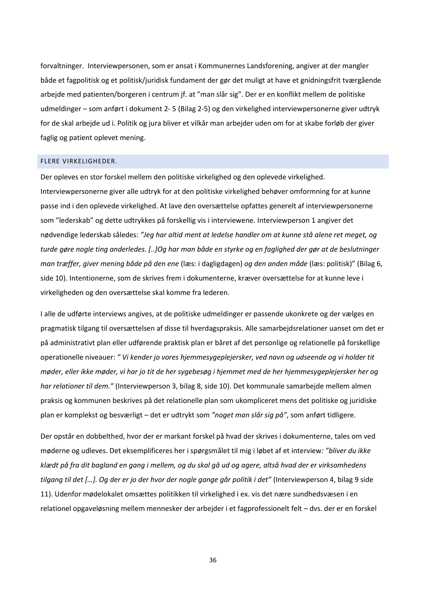forvaltninger. Interviewpersonen, som er ansat i Kommunernes Landsforening, angiver at der mangler både et fagpolitisk og et politisk/juridisk fundament der gør det muligt at have et gnidningsfrit tværgående arbejde med patienten/borgeren i centrum jf. at "man slår sig". Der er en konflikt mellem de politiske udmeldinger – som anført i dokument 2- 5 (Bilag 2-5) og den virkelighed interviewpersonerne giver udtryk for de skal arbejde ud i. Politik og jura bliver et vilkår man arbejder uden om for at skabe forløb der giver faglig og patient oplevet mening.

# <span id="page-36-0"></span>FLERE VIRKELIGHEDER.

Der opleves en stor forskel mellem den politiske virkelighed og den oplevede virkelighed. Interviewpersonerne giver alle udtryk for at den politiske virkelighed behøver omformning for at kunne passe ind i den oplevede virkelighed. At lave den oversættelse opfattes generelt af interviewpersonerne som "lederskab" og dette udtrykkes på forskellig vis i interviewene. Interviewperson 1 angiver det nødvendige lederskab således: *"Jeg har altid ment at ledelse handler om at kunne stå alene ret meget, og turde gøre nogle ting anderledes. [..]Og har man både en styrke og en faglighed der gør at de beslutninger man træffer, giver mening både på den ene* (læs: i dagligdagen) *og den anden måde* (læs: politisk)" (Bilag 6, side 10). Intentionerne, som de skrives frem i dokumenterne, kræver oversættelse for at kunne leve i virkeligheden og den oversættelse skal komme fra lederen.

I alle de udførte interviews angives, at de politiske udmeldinger er passende ukonkrete og der vælges en pragmatisk tilgang til oversættelsen af disse til hverdagspraksis. Alle samarbejdsrelationer uanset om det er på administrativt plan eller udførende praktisk plan er båret af det personlige og relationelle på forskellige operationelle niveauer: *" Vi kender jo vores hjemmesygeplejersker, ved navn og udseende og vi holder tit møder, eller ikke møder, vi har jo tit de her sygebesøg i hjemmet med de her hjemmesygeplejersker her og har relationer til dem."* (Interviewperson 3, bilag 8, side 10). Det kommunale samarbejde mellem almen praksis og kommunen beskrives på det relationelle plan som ukompliceret mens det politiske og juridiske plan er komplekst og besværligt – det er udtrykt som *"noget man slår sig på"*, som anført tidligere.

Der opstår en dobbelthed, hvor der er markant forskel på hvad der skrives i dokumenterne, tales om ved møderne og udleves. Det eksemplificeres her i spørgsmålet til mig i løbet af et interview*: "bliver du ikke klædt på fra dit bagland en gang i mellem, og du skal gå ud og agere, altså hvad der er virksomhedens tilgang til det […]. Og der er jo der hvor der nogle gange går politik i det"* (Interviewperson 4, bilag 9 side 11). Udenfor mødelokalet omsættes politikken til virkelighed i ex. vis det nære sundhedsvæsen i en relationel opgaveløsning mellem mennesker der arbejder i et fagprofessionelt felt – dvs. der er en forskel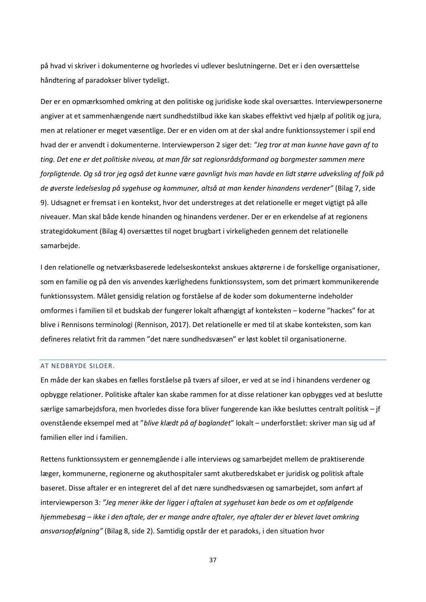på hvad vi skriver i dokumenterne og hvorledes vi udlever beslutningerne. Det er i den oversættelse håndtering af paradokser bliver tydeligt.

Der er en opmærksomhed omkring at den politiske og juridiske kode skal oversættes. Interviewpersonerne angiver at et sammenhængende nært sundhedstilbud ikke kan skabes effektivt ved hjælp af politik og jura, men at relationer er meget væsentlige. Der er en viden om at der skal andre funktionssystemer i spil end hvad der er anvendt i dokumenterne. Interviewperson 2 siger det: *"Jeg tror at man kunne have gavn af to ting. Det ene er det politiske niveau, at man får sat regionsrådsformand og borgmester sammen mere forpligtende. Og så tror jeg også det kunne være gavnligt hvis man havde en lidt større udveksling af folk på de øverste ledelseslag på sygehuse og kommuner, altså at man kender hinandens verdener"* (Bilag 7, side 9). Udsagnet er fremsat i en kontekst, hvor det understreges at det relationelle er meget vigtigt på alle niveauer. Man skal både kende hinanden og hinandens verdener. Der er en erkendelse af at regionens strategidokument (Bilag 4) oversættes til noget brugbart i virkeligheden gennem det relationelle samarbejde.

I den relationelle og netværksbaserede ledelseskontekst anskues aktørerne i de forskellige organisationer, som en familie og på den vis anvendes kærlighedens funktionssystem, som det primært kommunikerende funktionssystem. Målet gensidig relation og forståelse af de koder som dokumenterne indeholder omformes i familien til et budskab der fungerer lokalt afhængigt af konteksten – koderne "hackes" for at blive i Rennisons terminologi (Rennison, 2017). Det relationelle er med til at skabe konteksten, som kan defineres relativt frit da rammen "det nære sundhedsvæsen" er løst koblet til organisationerne.

# <span id="page-37-0"></span>AT NEDBRYDE SILOER.

En måde der kan skabes en fælles forståelse på tværs af siloer, er ved at se ind i hinandens verdener og opbygge relationer. Politiske aftaler kan skabe rammen for at disse relationer kan opbygges ved at beslutte særlige samarbejdsfora, men hvorledes disse fora bliver fungerende kan ikke besluttes centralt politisk – jf ovenstående eksempel med at "*blive klædt på af baglandet*" lokalt – underforstået: skriver man sig ud af familien eller ind i familien.

Rettens funktionssystem er gennemgående i alle interviews og samarbejdet mellem de praktiserende læger, kommunerne, regionerne og akuthospitaler samt akutberedskabet er juridisk og politisk aftale baseret. Disse aftaler er en integreret del af det nære sundhedsvæsen og samarbejdet, som anført af interviewperson 3*: "Jeg mener ikke der ligger i aftalen at sygehuset kan bede os om et opfølgende hjemmebesøg – ikke i den aftale, der er mange andre aftaler, nye aftaler der er blevet lavet omkring ansvarsopfølgning"* (Bilag 8, side 2). Samtidig opstår der et paradoks, i den situation hvor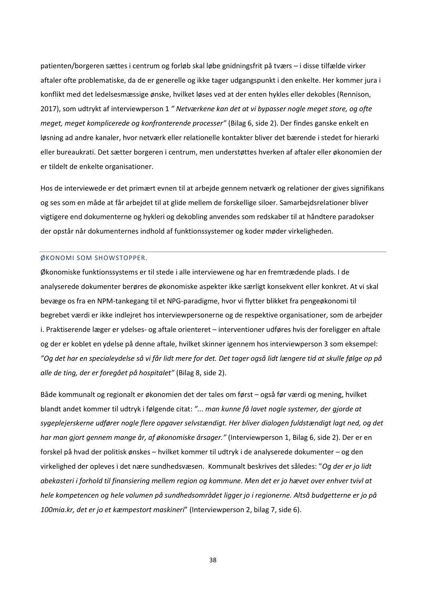patienten/borgeren sættes i centrum og forløb skal løbe gnidningsfrit på tværs – i disse tilfælde virker aftaler ofte problematiske, da de er generelle og ikke tager udgangspunkt i den enkelte. Her kommer jura i konflikt med det ledelsesmæssige ønske, hvilket løses ved at der enten hykles eller dekobles (Rennison, 2017), som udtrykt af interviewperson 1 *" Netværkene kan det at vi bypasser nogle meget store, og ofte meget, meget komplicerede og konfronterende processer"* (Bilag 6, side 2). Der findes ganske enkelt en løsning ad andre kanaler, hvor netværk eller relationelle kontakter bliver det bærende i stedet for hierarki eller bureaukrati. Det sætter borgeren i centrum, men understøttes hverken af aftaler eller økonomien der er tildelt de enkelte organisationer.

Hos de interviewede er det primært evnen til at arbejde gennem netværk og relationer der gives signifikans og ses som en måde at får arbejdet til at glide mellem de forskellige siloer. Samarbejdsrelationer bliver vigtigere end dokumenterne og hykleri og dekobling anvendes som redskaber til at håndtere paradokser der opstår når dokumenternes indhold af funktionssystemer og koder møder virkeligheden.

#### <span id="page-38-0"></span>ØKONOMI SOM SHOWSTOPPER.

Økonomiske funktionssystems er til stede i alle interviewene og har en fremtrædende plads. I de analyserede dokumenter berøres de økonomiske aspekter ikke særligt konsekvent eller konkret. At vi skal bevæge os fra en NPM-tankegang til et NPG-paradigme, hvor vi flytter blikket fra pengeøkonomi til begrebet værdi er ikke indlejret hos interviewpersonerne og de respektive organisationer, som de arbejder i. Praktiserende læger er ydelses- og aftale orienteret – interventioner udføres hvis der foreligger en aftale og der er koblet en ydelse på denne aftale, hvilket skinner igennem hos interviewperson 3 som eksempel: *"Og det har en specialeydelse så vi får lidt mere for det. Det tager også lidt længere tid at skulle følge op på alle de ting, der er foregået på hospitalet"* (Bilag 8, side 2).

Både kommunalt og regionalt er økonomien det der tales om først – også før værdi og mening, hvilket blandt andet kommer til udtryk i følgende citat: *"... man kunne få lavet nogle systemer, der gjorde at sygeplejerskerne udfører nogle flere opgaver selvstændigt. Her bliver dialogen fuldstændigt lagt ned, og det har man gjort gennem mange år, af økonomiske årsager."* (Interviewperson 1, Bilag 6, side 2). Der er en forskel på hvad der politisk ønskes – hvilket kommer til udtryk i de analyserede dokumenter – og den virkelighed der opleves i det nære sundhedsvæsen. Kommunalt beskrives det således: "*Og der er jo lidt abekasteri i forhold til finansiering mellem region og kommune. Men det er jo hævet over enhver tvivl at hele kompetencen og hele volumen på sundhedsområdet ligger jo i regionerne. Altså budgetterne er jo på 100mia.kr, det er jo et kæmpestort maskineri*" (Interviewperson 2, bilag 7, side 6).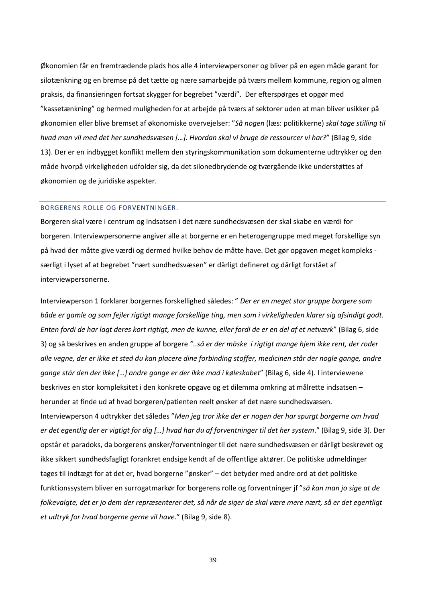Økonomien får en fremtrædende plads hos alle 4 interviewpersoner og bliver på en egen måde garant for silotænkning og en bremse på det tætte og nære samarbejde på tværs mellem kommune, region og almen praksis, da finansieringen fortsat skygger for begrebet "værdi". Der efterspørges et opgør med "kassetænkning" og hermed muligheden for at arbejde på tværs af sektorer uden at man bliver usikker på økonomien eller blive bremset af økonomiske overvejelser: "*Så nogen* (læs: politikkerne) *skal tage stilling til hvad man vil med det her sundhedsvæsen […]. Hvordan skal vi bruge de ressourcer vi har?*" (Bilag 9, side 13). Der er en indbygget konflikt mellem den styringskommunikation som dokumenterne udtrykker og den måde hvorpå virkeligheden udfolder sig, da det silonedbrydende og tværgående ikke understøttes af økonomien og de juridiske aspekter.

# <span id="page-39-0"></span>BORGERENS ROLLE OG FORVENTNINGER.

Borgeren skal være i centrum og indsatsen i det nære sundhedsvæsen der skal skabe en værdi for borgeren. Interviewpersonerne angiver alle at borgerne er en heterogengruppe med meget forskellige syn på hvad der måtte give værdi og dermed hvilke behov de måtte have. Det gør opgaven meget kompleks særligt i lyset af at begrebet "nært sundhedsvæsen" er dårligt defineret og dårligt forstået af interviewpersonerne.

Interviewperson 1 forklarer borgernes forskellighed således: " *Der er en meget stor gruppe borgere som både er gamle og som fejler rigtigt mange forskellige ting, men som i virkeligheden klarer sig afsindigt godt. Enten fordi de har lagt deres kort rigtigt, men de kunne, eller fordi de er en del af et netværk*" (Bilag 6, side 3) og så beskrives en anden gruppe af borgere *"..så er der måske i rigtigt mange hjem ikke rent, der roder alle vegne, der er ikke et sted du kan placere dine forbinding stoffer, medicinen står der nogle gange, andre gange står den der ikke […] andre gange er der ikke mad i køleskabet*" (Bilag 6, side 4). I interviewene beskrives en stor kompleksitet i den konkrete opgave og et dilemma omkring at målrette indsatsen – herunder at finde ud af hvad borgeren/patienten reelt ønsker af det nære sundhedsvæsen. Interviewperson 4 udtrykker det således "*Men jeg tror ikke der er nogen der har spurgt borgerne om hvad er det egentlig der er vigtigt for dig […] hvad har du af forventninger til det her system*." (Bilag 9, side 3). Der opstår et paradoks, da borgerens ønsker/forventninger til det nære sundhedsvæsen er dårligt beskrevet og ikke sikkert sundhedsfagligt forankret endsige kendt af de offentlige aktører. De politiske udmeldinger tages til indtægt for at det er, hvad borgerne "ønsker" – det betyder med andre ord at det politiske funktionssystem bliver en surrogatmarkør for borgerens rolle og forventninger jf "*så kan man jo sige at de folkevalgte, det er jo dem der repræsenterer det, så når de siger de skal være mere nært, så er det egentligt et udtryk for hvad borgerne gerne vil have*." (Bilag 9, side 8).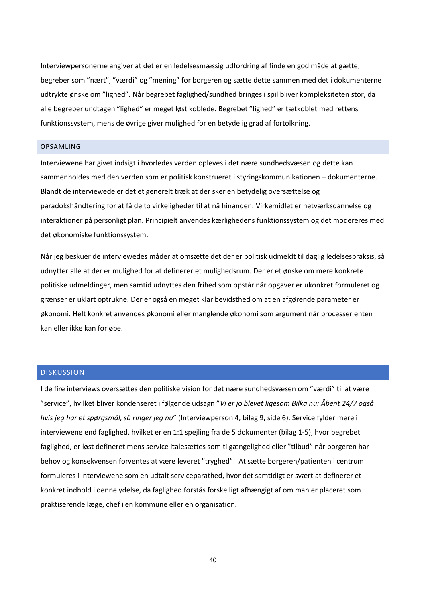Interviewpersonerne angiver at det er en ledelsesmæssig udfordring af finde en god måde at gætte, begreber som "nært", "værdi" og "mening" for borgeren og sætte dette sammen med det i dokumenterne udtrykte ønske om "lighed". Når begrebet faglighed/sundhed bringes i spil bliver kompleksiteten stor, da alle begreber undtagen "lighed" er meget løst koblede. Begrebet "lighed" er tætkoblet med rettens funktionssystem, mens de øvrige giver mulighed for en betydelig grad af fortolkning.

#### <span id="page-40-0"></span>OPSAMLING

Interviewene har givet indsigt i hvorledes verden opleves i det nære sundhedsvæsen og dette kan sammenholdes med den verden som er politisk konstrueret i styringskommunikationen – dokumenterne. Blandt de interviewede er det et generelt træk at der sker en betydelig oversættelse og paradokshåndtering for at få de to virkeligheder til at nå hinanden. Virkemidlet er netværksdannelse og interaktioner på personligt plan. Principielt anvendes kærlighedens funktionssystem og det modereres med det økonomiske funktionssystem.

Når jeg beskuer de interviewedes måder at omsætte det der er politisk udmeldt til daglig ledelsespraksis, så udnytter alle at der er mulighed for at definerer et mulighedsrum. Der er et ønske om mere konkrete politiske udmeldinger, men samtid udnyttes den frihed som opstår når opgaver er ukonkret formuleret og grænser er uklart optrukne. Der er også en meget klar bevidsthed om at en afgørende parameter er økonomi. Helt konkret anvendes økonomi eller manglende økonomi som argument når processer enten kan eller ikke kan forløbe.

# <span id="page-40-1"></span>DISKUSSION

I de fire interviews oversættes den politiske vision for det nære sundhedsvæsen om "værdi" til at være "service", hvilket bliver kondenseret i følgende udsagn "*Vi er jo blevet ligesom Bilka nu: Åbent 24/7 også hvis jeg har et spørgsmål, så ringer jeg nu*" (Interviewperson 4, bilag 9, side 6). Service fylder mere i interviewene end faglighed, hvilket er en 1:1 spejling fra de 5 dokumenter (bilag 1-5), hvor begrebet faglighed, er løst defineret mens service italesættes som tilgængelighed eller "tilbud" når borgeren har behov og konsekvensen forventes at være leveret "tryghed". At sætte borgeren/patienten i centrum formuleres i interviewene som en udtalt serviceparathed, hvor det samtidigt er svært at definerer et konkret indhold i denne ydelse, da faglighed forstås forskelligt afhængigt af om man er placeret som praktiserende læge, chef i en kommune eller en organisation.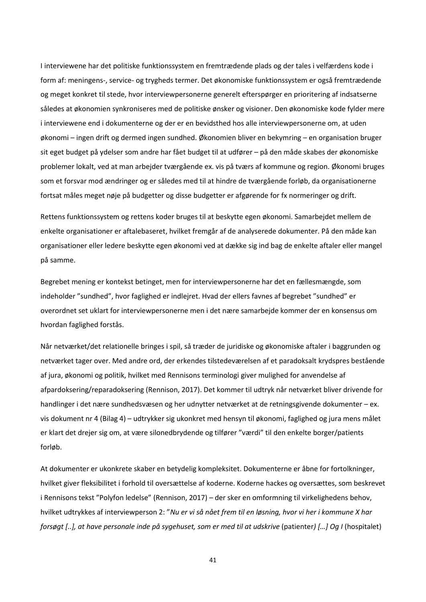I interviewene har det politiske funktionssystem en fremtrædende plads og der tales i velfærdens kode i form af: meningens-, service- og trygheds termer. Det økonomiske funktionssystem er også fremtrædende og meget konkret til stede, hvor interviewpersonerne generelt efterspørger en prioritering af indsatserne således at økonomien synkroniseres med de politiske ønsker og visioner. Den økonomiske kode fylder mere i interviewene end i dokumenterne og der er en bevidsthed hos alle interviewpersonerne om, at uden økonomi – ingen drift og dermed ingen sundhed. Økonomien bliver en bekymring – en organisation bruger sit eget budget på ydelser som andre har fået budget til at udfører – på den måde skabes der økonomiske problemer lokalt, ved at man arbejder tværgående ex. vis på tværs af kommune og region. Økonomi bruges som et forsvar mod ændringer og er således med til at hindre de tværgående forløb, da organisationerne fortsat måles meget nøje på budgetter og disse budgetter er afgørende for fx normeringer og drift.

Rettens funktionssystem og rettens koder bruges til at beskytte egen økonomi. Samarbejdet mellem de enkelte organisationer er aftalebaseret, hvilket fremgår af de analyserede dokumenter. På den måde kan organisationer eller ledere beskytte egen økonomi ved at dække sig ind bag de enkelte aftaler eller mangel på samme.

Begrebet mening er kontekst betinget, men for interviewpersonerne har det en fællesmængde, som indeholder "sundhed", hvor faglighed er indlejret. Hvad der ellers favnes af begrebet "sundhed" er overordnet set uklart for interviewpersonerne men i det nære samarbejde kommer der en konsensus om hvordan faglighed forstås.

Når netværket/det relationelle bringes i spil, så træder de juridiske og økonomiske aftaler i baggrunden og netværket tager over. Med andre ord, der erkendes tilstedeværelsen af et paradoksalt krydspres bestående af jura, økonomi og politik, hvilket med Rennisons terminologi giver mulighed for anvendelse af afpardoksering/reparadoksering (Rennison, 2017). Det kommer til udtryk når netværket bliver drivende for handlinger i det nære sundhedsvæsen og her udnytter netværket at de retningsgivende dokumenter – ex. vis dokument nr 4 (Bilag 4) – udtrykker sig ukonkret med hensyn til økonomi, faglighed og jura mens målet er klart det drejer sig om, at være silonedbrydende og tilfører "værdi" til den enkelte borger/patients forløb.

At dokumenter er ukonkrete skaber en betydelig kompleksitet. Dokumenterne er åbne for fortolkninger, hvilket giver fleksibilitet i forhold til oversættelse af koderne. Koderne hackes og oversættes, som beskrevet i Rennisons tekst "Polyfon ledelse" (Rennison, 2017) – der sker en omformning til virkelighedens behov, hvilket udtrykkes af interviewperson 2: "*Nu er vi så nået frem til en løsning, hvor vi her i kommune X har forsøgt [..], at have personale inde på sygehuset, som er med til at udskrive* (patienter*) […] Og I* (hospitalet)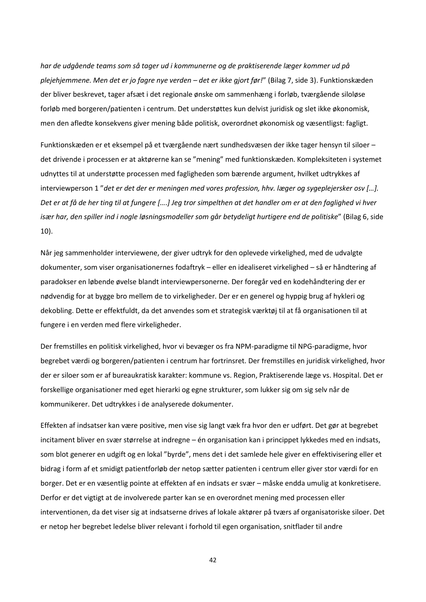*har de udgående teams som så tager ud i kommunerne og de praktiserende læger kommer ud på plejehjemmene. Men det er jo fagre nye verden – det er ikke gjort før!*" (Bilag 7, side 3). Funktionskæden der bliver beskrevet, tager afsæt i det regionale ønske om sammenhæng i forløb, tværgående siloløse forløb med borgeren/patienten i centrum. Det understøttes kun delvist juridisk og slet ikke økonomisk, men den afledte konsekvens giver mening både politisk, overordnet økonomisk og væsentligst: fagligt.

Funktionskæden er et eksempel på et tværgående nært sundhedsvæsen der ikke tager hensyn til siloer – det drivende i processen er at aktørerne kan se "mening" med funktionskæden. Kompleksiteten i systemet udnyttes til at understøtte processen med fagligheden som bærende argument, hvilket udtrykkes af interviewperson 1 "*det er det der er meningen med vores profession, hhv. læger og sygeplejersker osv […]. Det er at få de her ting til at fungere [….] Jeg tror simpelthen at det handler om er at den faglighed vi hver især har, den spiller ind i nogle løsningsmodeller som går betydeligt hurtigere end de politiske*" (Bilag 6, side 10).

Når jeg sammenholder interviewene, der giver udtryk for den oplevede virkelighed, med de udvalgte dokumenter, som viser organisationernes fodaftryk – eller en idealiseret virkelighed – så er håndtering af paradokser en løbende øvelse blandt interviewpersonerne. Der foregår ved en kodehåndtering der er nødvendig for at bygge bro mellem de to virkeligheder. Der er en generel og hyppig brug af hykleri og dekobling. Dette er effektfuldt, da det anvendes som et strategisk værktøj til at få organisationen til at fungere i en verden med flere virkeligheder.

Der fremstilles en politisk virkelighed, hvor vi bevæger os fra NPM-paradigme til NPG-paradigme, hvor begrebet værdi og borgeren/patienten i centrum har fortrinsret. Der fremstilles en juridisk virkelighed, hvor der er siloer som er af bureaukratisk karakter: kommune vs. Region, Praktiserende læge vs. Hospital. Det er forskellige organisationer med eget hierarki og egne strukturer, som lukker sig om sig selv når de kommunikerer. Det udtrykkes i de analyserede dokumenter.

Effekten af indsatser kan være positive, men vise sig langt væk fra hvor den er udført. Det gør at begrebet incitament bliver en svær størrelse at indregne – én organisation kan i princippet lykkedes med en indsats, som blot generer en udgift og en lokal "byrde", mens det i det samlede hele giver en effektivisering eller et bidrag i form af et smidigt patientforløb der netop sætter patienten i centrum eller giver stor værdi for en borger. Det er en væsentlig pointe at effekten af en indsats er svær – måske endda umulig at konkretisere. Derfor er det vigtigt at de involverede parter kan se en overordnet mening med processen eller interventionen, da det viser sig at indsatserne drives af lokale aktører på tværs af organisatoriske siloer. Det er netop her begrebet ledelse bliver relevant i forhold til egen organisation, snitflader til andre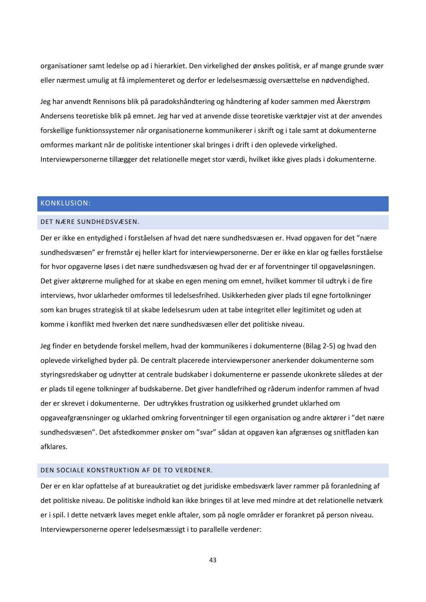organisationer samt ledelse op ad i hierarkiet. Den virkelighed der ønskes politisk, er af mange grunde svær eller nærmest umulig at få implementeret og derfor er ledelsesmæssig oversættelse en nødvendighed.

Jeg har anvendt Rennisons blik på paradokshåndtering og håndtering af koder sammen med Åkerstrøm Andersens teoretiske blik på emnet. Jeg har ved at anvende disse teoretiske værktøjer vist at der anvendes forskellige funktionssystemer når organisationerne kommunikerer i skrift og i tale samt at dokumenterne omformes markant når de politiske intentioner skal bringes i drift i den oplevede virkelighed. Interviewpersonerne tillægger det relationelle meget stor værdi, hvilket ikke gives plads i dokumenterne.

# <span id="page-43-0"></span>KONKLUSION:

# <span id="page-43-1"></span>DET NÆRE SUNDHEDSVÆSEN.

Der er ikke en entydighed i forståelsen af hvad det nære sundhedsvæsen er. Hvad opgaven for det "nære sundhedsvæsen" er fremstår ej heller klart for interviewpersonerne. Der er ikke en klar og fælles forståelse for hvor opgaverne løses i det nære sundhedsvæsen og hvad der er af forventninger til opgaveløsningen. Det giver aktørerne mulighed for at skabe en egen mening om emnet, hvilket kommer til udtryk i de fire interviews, hvor uklarheder omformes til ledelsesfrihed. Usikkerheden giver plads til egne fortolkninger som kan bruges strategisk til at skabe ledelsesrum uden at tabe integritet eller legitimitet og uden at komme i konflikt med hverken det nære sundhedsvæsen eller det politiske niveau.

Jeg finder en betydende forskel mellem, hvad der kommunikeres i dokumenterne (Bilag 2-5) og hvad den oplevede virkelighed byder på. De centralt placerede interviewpersoner anerkender dokumenterne som styringsredskaber og udnytter at centrale budskaber i dokumenterne er passende ukonkrete således at der er plads til egene tolkninger af budskaberne. Det giver handlefrihed og råderum indenfor rammen af hvad der er skrevet i dokumenterne. Der udtrykkes frustration og usikkerhed grundet uklarhed om opgaveafgrænsninger og uklarhed omkring forventninger til egen organisation og andre aktører i "det nære sundhedsvæsen". Det afstedkommer ønsker om "svar" sådan at opgaven kan afgrænses og snitfladen kan afklares.

# <span id="page-43-2"></span>DEN SOCIALE KONSTRUKTION AF DE TO VERDENER.

Der er en klar opfattelse af at bureaukratiet og det juridiske embedsværk laver rammer på foranledning af det politiske niveau. De politiske indhold kan ikke bringes til at leve med mindre at det relationelle netværk er i spil. I dette netværk laves meget enkle aftaler, som på nogle områder er forankret på person niveau. Interviewpersonerne operer ledelsesmæssigt i to parallelle verdener: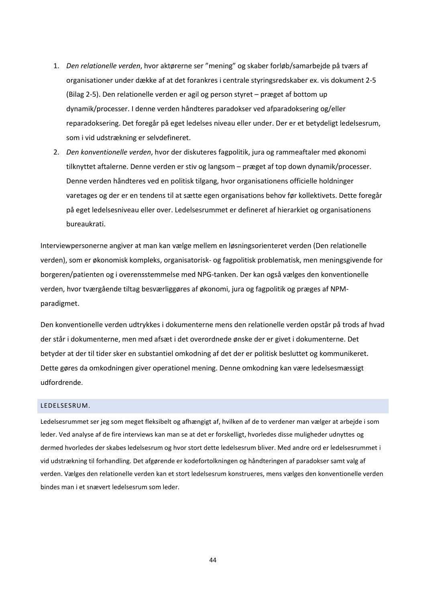- 1. *Den relationelle verden*, hvor aktørerne ser "mening" og skaber forløb/samarbejde på tværs af organisationer under dække af at det forankres i centrale styringsredskaber ex. vis dokument 2-5 (Bilag 2-5). Den relationelle verden er agil og person styret – præget af bottom up dynamik/processer. I denne verden håndteres paradokser ved afparadoksering og/eller reparadoksering. Det foregår på eget ledelses niveau eller under. Der er et betydeligt ledelsesrum, som i vid udstrækning er selvdefineret.
- 2. *Den konventionelle verden*, hvor der diskuteres fagpolitik, jura og rammeaftaler med økonomi tilknyttet aftalerne. Denne verden er stiv og langsom – præget af top down dynamik/processer. Denne verden håndteres ved en politisk tilgang, hvor organisationens officielle holdninger varetages og der er en tendens til at sætte egen organisations behov før kollektivets. Dette foregår på eget ledelsesniveau eller over. Ledelsesrummet er defineret af hierarkiet og organisationens bureaukrati.

Interviewpersonerne angiver at man kan vælge mellem en løsningsorienteret verden (Den relationelle verden), som er økonomisk kompleks, organisatorisk- og fagpolitisk problematisk, men meningsgivende for borgeren/patienten og i overensstemmelse med NPG-tanken. Der kan også vælges den konventionelle verden, hvor tværgående tiltag besværliggøres af økonomi, jura og fagpolitik og præges af NPMparadigmet.

Den konventionelle verden udtrykkes i dokumenterne mens den relationelle verden opstår på trods af hvad der står i dokumenterne, men med afsæt i det overordnede ønske der er givet i dokumenterne. Det betyder at der til tider sker en substantiel omkodning af det der er politisk besluttet og kommunikeret. Dette gøres da omkodningen giver operationel mening. Denne omkodning kan være ledelsesmæssigt udfordrende.

# <span id="page-44-0"></span>LEDELSESRUM.

Ledelsesrummet ser jeg som meget fleksibelt og afhængigt af, hvilken af de to verdener man vælger at arbejde i som leder. Ved analyse af de fire interviews kan man se at det er forskelligt, hvorledes disse muligheder udnyttes og dermed hvorledes der skabes ledelsesrum og hvor stort dette ledelsesrum bliver. Med andre ord er ledelsesrummet i vid udstrækning til forhandling. Det afgørende er kodefortolkningen og håndteringen af paradokser samt valg af verden. Vælges den relationelle verden kan et stort ledelsesrum konstrueres, mens vælges den konventionelle verden bindes man i et snævert ledelsesrum som leder.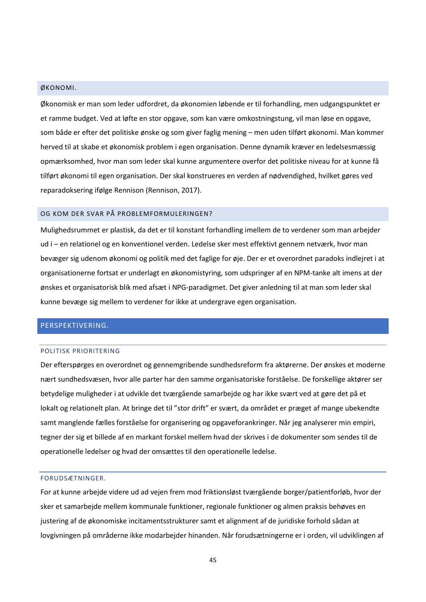# <span id="page-45-0"></span>ØKONOMI.

Økonomisk er man som leder udfordret, da økonomien løbende er til forhandling, men udgangspunktet er et ramme budget. Ved at løfte en stor opgave, som kan være omkostningstung, vil man løse en opgave, som både er efter det politiske ønske og som giver faglig mening – men uden tilført økonomi. Man kommer herved til at skabe et økonomisk problem i egen organisation. Denne dynamik kræver en ledelsesmæssig opmærksomhed, hvor man som leder skal kunne argumentere overfor det politiske niveau for at kunne få tilført økonomi til egen organisation. Der skal konstrueres en verden af nødvendighed, hvilket gøres ved reparadoksering ifølge Rennison (Rennison, 2017).

### <span id="page-45-1"></span>OG KOM DER SVAR PÅ PROBLEMFORMULERINGEN?

Mulighedsrummet er plastisk, da det er til konstant forhandling imellem de to verdener som man arbejder ud i – en relationel og en konventionel verden. Ledelse sker mest effektivt gennem netværk, hvor man bevæger sig udenom økonomi og politik med det faglige for øje. Der er et overordnet paradoks indlejret i at organisationerne fortsat er underlagt en økonomistyring, som udspringer af en NPM-tanke alt imens at der ønskes et organisatorisk blik med afsæt i NPG-paradigmet. Det giver anledning til at man som leder skal kunne bevæge sig mellem to verdener for ikke at undergrave egen organisation.

# <span id="page-45-3"></span><span id="page-45-2"></span>PERSPEKTIVERING.

#### POLITISK PRIORITERING

Der efterspørges en overordnet og gennemgribende sundhedsreform fra aktørerne. Der ønskes et moderne nært sundhedsvæsen, hvor alle parter har den samme organisatoriske forståelse. De forskellige aktører ser betydelige muligheder i at udvikle det tværgående samarbejde og har ikke svært ved at gøre det på et lokalt og relationelt plan. At bringe det til "stor drift" er svært, da området er præget af mange ubekendte samt manglende fælles forståelse for organisering og opgaveforankringer. Når jeg analyserer min empiri, tegner der sig et billede af en markant forskel mellem hvad der skrives i de dokumenter som sendes til de operationelle ledelser og hvad der omsættes til den operationelle ledelse.

#### <span id="page-45-4"></span>FORUDSÆTNINGER.

For at kunne arbejde videre ud ad vejen frem mod friktionsløst tværgående borger/patientforløb, hvor der sker et samarbejde mellem kommunale funktioner, regionale funktioner og almen praksis behøves en justering af de økonomiske incitamentsstrukturer samt et alignment af de juridiske forhold sådan at lovgivningen på områderne ikke modarbejder hinanden. Når forudsætningerne er i orden, vil udviklingen af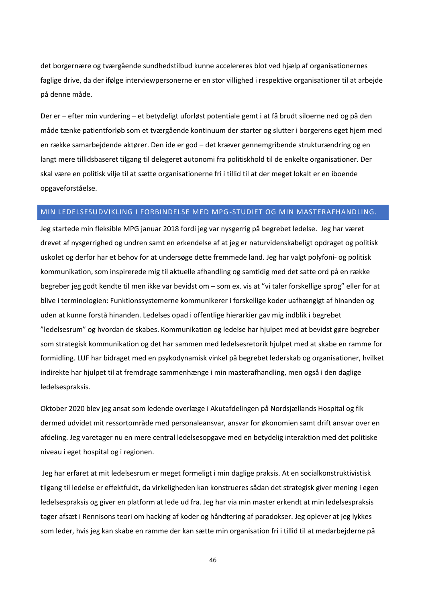det borgernære og tværgående sundhedstilbud kunne accelereres blot ved hjælp af organisationernes faglige drive, da der ifølge interviewpersonerne er en stor villighed i respektive organisationer til at arbejde på denne måde.

Der er – efter min vurdering – et betydeligt uforløst potentiale gemt i at få brudt siloerne ned og på den måde tænke patientforløb som et tværgående kontinuum der starter og slutter i borgerens eget hjem med en række samarbejdende aktører. Den ide er god – det kræver gennemgribende strukturændring og en langt mere tillidsbaseret tilgang til delegeret autonomi fra politiskhold til de enkelte organisationer. Der skal være en politisk vilje til at sætte organisationerne fri i tillid til at der meget lokalt er en iboende opgaveforståelse.

# <span id="page-46-0"></span>MIN LEDELSESUDVIKLING I FORBINDELSE MED MPG-STUDIET OG MIN MASTERAFHANDLING.

Jeg startede min fleksible MPG januar 2018 fordi jeg var nysgerrig på begrebet ledelse. Jeg har været drevet af nysgerrighed og undren samt en erkendelse af at jeg er naturvidenskabeligt opdraget og politisk uskolet og derfor har et behov for at undersøge dette fremmede land. Jeg har valgt polyfoni- og politisk kommunikation, som inspirerede mig til aktuelle afhandling og samtidig med det satte ord på en række begreber jeg godt kendte til men ikke var bevidst om – som ex. vis at "vi taler forskellige sprog" eller for at blive i terminologien: Funktionssystemerne kommunikerer i forskellige koder uafhængigt af hinanden og uden at kunne forstå hinanden. Ledelses opad i offentlige hierarkier gav mig indblik i begrebet "ledelsesrum" og hvordan de skabes. Kommunikation og ledelse har hjulpet med at bevidst gøre begreber som strategisk kommunikation og det har sammen med ledelsesretorik hjulpet med at skabe en ramme for formidling. LUF har bidraget med en psykodynamisk vinkel på begrebet lederskab og organisationer, hvilket indirekte har hjulpet til at fremdrage sammenhænge i min masterafhandling, men også i den daglige ledelsespraksis.

Oktober 2020 blev jeg ansat som ledende overlæge i Akutafdelingen på Nordsjællands Hospital og fik dermed udvidet mit ressortområde med personaleansvar, ansvar for økonomien samt drift ansvar over en afdeling. Jeg varetager nu en mere central ledelsesopgave med en betydelig interaktion med det politiske niveau i eget hospital og i regionen.

Jeg har erfaret at mit ledelsesrum er meget formeligt i min daglige praksis. At en socialkonstruktivistisk tilgang til ledelse er effektfuldt, da virkeligheden kan konstrueres sådan det strategisk giver mening i egen ledelsespraksis og giver en platform at lede ud fra. Jeg har via min master erkendt at min ledelsespraksis tager afsæt i Rennisons teori om hacking af koder og håndtering af paradokser. Jeg oplever at jeg lykkes som leder, hvis jeg kan skabe en ramme der kan sætte min organisation fri i tillid til at medarbejderne på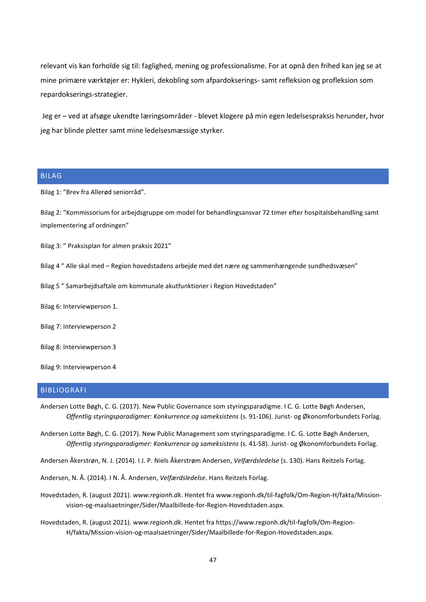relevant vis kan forholde sig til: faglighed, mening og professionalisme. For at opnå den frihed kan jeg se at mine primære værktøjer er: Hykleri, dekobling som afpardokserings- samt refleksion og profleksion som repardokserings-strategier.

Jeg er – ved at afsøge ukendte læringsområder - blevet klogere på min egen ledelsespraksis herunder, hvor jeg har blinde pletter samt mine ledelsesmæssige styrker.

# <span id="page-47-0"></span>BILAG

Bilag 1: "Brev fra Allerød seniorråd".

Bilag 2: "Kommissorium for arbejdsgruppe om model for behandlingsansvar 72 timer efter hospitalsbehandling samt implementering af ordningen"

Bilag 3: " Praksisplan for almen praksis 2021"

Bilag 4 " Alle skal med – Region hovedstadens arbejde med det nære og sammenhængende sundhedsvæsen"

Bilag 5 " Samarbejdsaftale om kommunale akutfunktioner i Region Hovedstaden"

Bilag 6: Interviewperson 1.

Bilag 7: Interviewperson 2

Bilag 8: Interviewperson 3

Bilag 9: Interviewperson 4

# <span id="page-47-1"></span>BIBLIOGRAFI

Andersen Lotte Bøgh, C. G. (2017). New Public Governance som styringsparadigme. I C. G. Lotte Bøgh Andersen, *Offentlig styringsparadigmer: Konkurrence og sameksistens* (s. 91-106). Jurist- og Økonomforbundets Forlag.

Andersen Lotte Bøgh, C. G. (2017). New Public Management som styringsparadigme. I C. G. Lotte Bøgh Andersen, *Offentlig styringsparadigmer: Konkurrence og sameksistens* (s. 41-58). Jurist- og Økonomforbundets Forlag.

Andersen Åkerstrøn, N. J. (2014). I J. P. Niels Åkerstrøm Andersen, *Velfærdsledelse* (s. 130). Hans Reitzels Forlag.

Andersen, N. Å. (2014). I N. Å. Andersen, *Velfærdsledelse.* Hans Reitzels Forlag.

Hovedstaden, R. (august 2021). *www.regionh.dk*. Hentet fra www.regionh.dk/til-fagfolk/Om-Region-H/fakta/Missionvision-og-maalsaetninger/Sider/Maalbillede-for-Region-Hovedstaden.aspx.

Hovedstaden, R. (august 2021). *www.regionh.dk*. Hentet fra https://www.regionh.dk/til-fagfolk/Om-Region-H/fakta/Mission-vision-og-maalsaetninger/Sider/Maalbillede-for-Region-Hovedstaden.aspx.